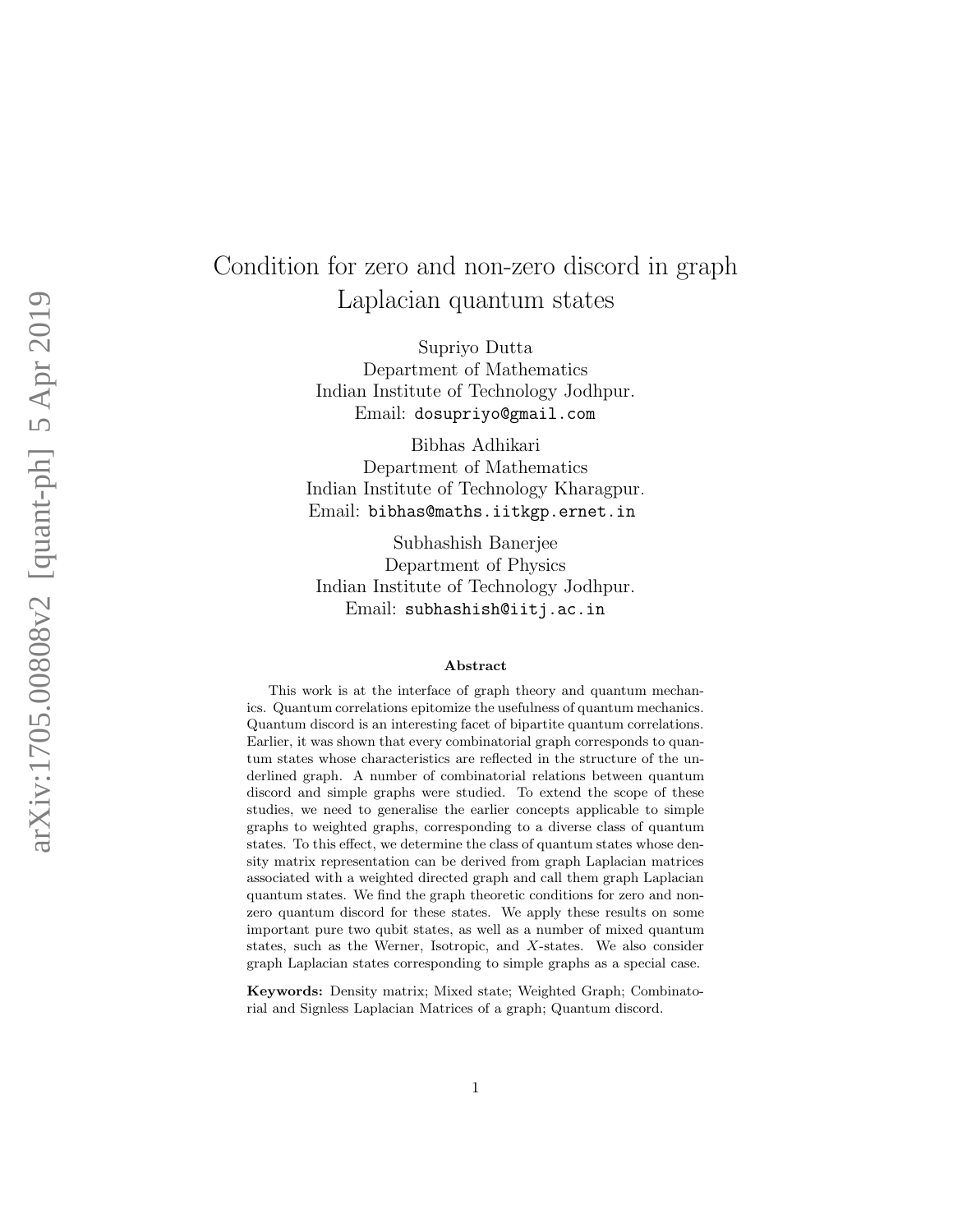# Condition for zero and non-zero discord in graph Laplacian quantum states

Supriyo Dutta Department of Mathematics Indian Institute of Technology Jodhpur. Email: dosupriyo@gmail.com

Bibhas Adhikari Department of Mathematics Indian Institute of Technology Kharagpur. Email: bibhas@maths.iitkgp.ernet.in

Subhashish Banerjee Department of Physics Indian Institute of Technology Jodhpur. Email: subhashish@iitj.ac.in

#### Abstract

This work is at the interface of graph theory and quantum mechanics. Quantum correlations epitomize the usefulness of quantum mechanics. Quantum discord is an interesting facet of bipartite quantum correlations. Earlier, it was shown that every combinatorial graph corresponds to quantum states whose characteristics are reflected in the structure of the underlined graph. A number of combinatorial relations between quantum discord and simple graphs were studied. To extend the scope of these studies, we need to generalise the earlier concepts applicable to simple graphs to weighted graphs, corresponding to a diverse class of quantum states. To this effect, we determine the class of quantum states whose density matrix representation can be derived from graph Laplacian matrices associated with a weighted directed graph and call them graph Laplacian quantum states. We find the graph theoretic conditions for zero and nonzero quantum discord for these states. We apply these results on some important pure two qubit states, as well as a number of mixed quantum states, such as the Werner, Isotropic, and X-states. We also consider graph Laplacian states corresponding to simple graphs as a special case.

Keywords: Density matrix; Mixed state; Weighted Graph; Combinatorial and Signless Laplacian Matrices of a graph; Quantum discord.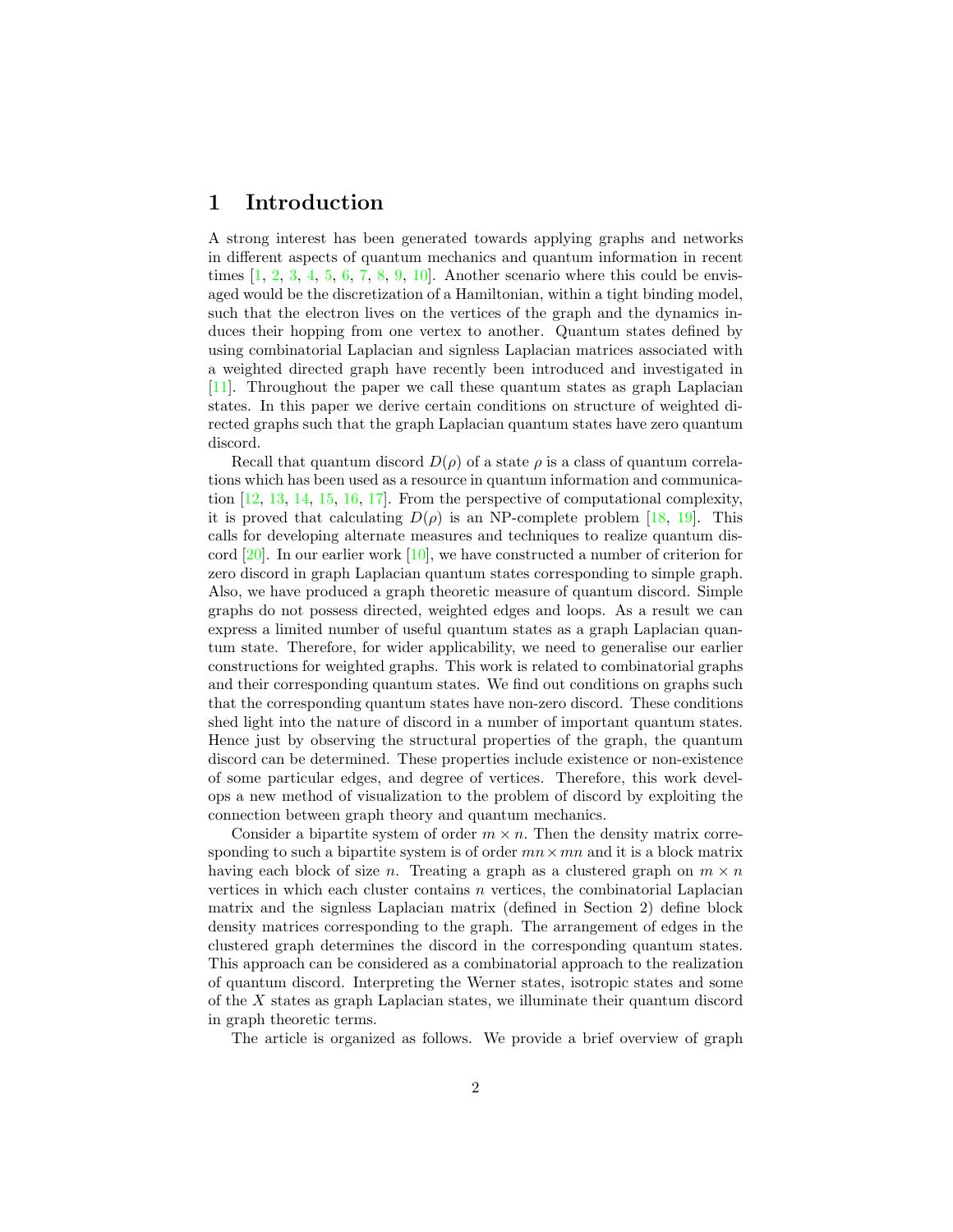# 1 Introduction

A strong interest has been generated towards applying graphs and networks in different aspects of quantum mechanics and quantum information in recent times  $[1, 2, 3, 4, 5, 6, 7, 8, 9, 10]$ . Another scenario where this could be envisaged would be the discretization of a Hamiltonian, within a tight binding model, such that the electron lives on the vertices of the graph and the dynamics induces their hopping from one vertex to another. Quantum states defined by using combinatorial Laplacian and signless Laplacian matrices associated with a weighted directed graph have recently been introduced and investigated in [11]. Throughout the paper we call these quantum states as graph Laplacian states. In this paper we derive certain conditions on structure of weighted directed graphs such that the graph Laplacian quantum states have zero quantum discord.

Recall that quantum discord  $D(\rho)$  of a state  $\rho$  is a class of quantum correlations which has been used as a resource in quantum information and communication [12, 13, 14, 15, 16, 17]. From the perspective of computational complexity, it is proved that calculating  $D(\rho)$  is an NP-complete problem [18, 19]. This calls for developing alternate measures and techniques to realize quantum discord  $[20]$ . In our earlier work  $[10]$ , we have constructed a number of criterion for zero discord in graph Laplacian quantum states corresponding to simple graph. Also, we have produced a graph theoretic measure of quantum discord. Simple graphs do not possess directed, weighted edges and loops. As a result we can express a limited number of useful quantum states as a graph Laplacian quantum state. Therefore, for wider applicability, we need to generalise our earlier constructions for weighted graphs. This work is related to combinatorial graphs and their corresponding quantum states. We find out conditions on graphs such that the corresponding quantum states have non-zero discord. These conditions shed light into the nature of discord in a number of important quantum states. Hence just by observing the structural properties of the graph, the quantum discord can be determined. These properties include existence or non-existence of some particular edges, and degree of vertices. Therefore, this work develops a new method of visualization to the problem of discord by exploiting the connection between graph theory and quantum mechanics.

Consider a bipartite system of order  $m \times n$ . Then the density matrix corresponding to such a bipartite system is of order  $mn \times mn$  and it is a block matrix having each block of size n. Treating a graph as a clustered graph on  $m \times n$ vertices in which each cluster contains  $n$  vertices, the combinatorial Laplacian matrix and the signless Laplacian matrix (defined in Section 2) define block density matrices corresponding to the graph. The arrangement of edges in the clustered graph determines the discord in the corresponding quantum states. This approach can be considered as a combinatorial approach to the realization of quantum discord. Interpreting the Werner states, isotropic states and some of the X states as graph Laplacian states, we illuminate their quantum discord in graph theoretic terms.

The article is organized as follows. We provide a brief overview of graph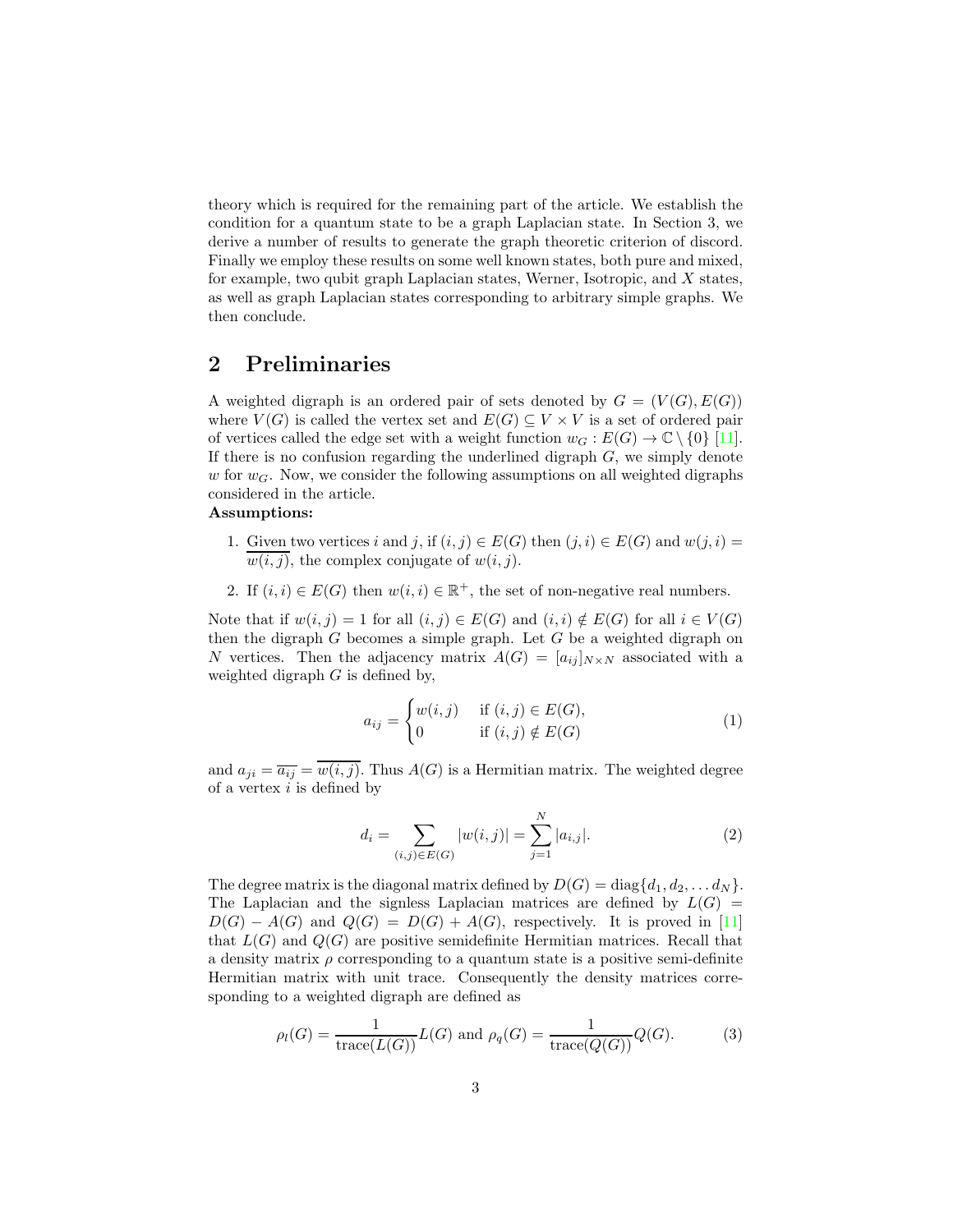theory which is required for the remaining part of the article. We establish the condition for a quantum state to be a graph Laplacian state. In Section 3, we derive a number of results to generate the graph theoretic criterion of discord. Finally we employ these results on some well known states, both pure and mixed, for example, two qubit graph Laplacian states, Werner, Isotropic, and X states, as well as graph Laplacian states corresponding to arbitrary simple graphs. We then conclude.

# 2 Preliminaries

A weighted digraph is an ordered pair of sets denoted by  $G = (V(G), E(G))$ where  $V(G)$  is called the vertex set and  $E(G) \subseteq V \times V$  is a set of ordered pair of vertices called the edge set with a weight function  $w_G : E(G) \to \mathbb{C} \setminus \{0\}$  [11]. If there is no confusion regarding the underlined digraph  $G$ , we simply denote w for  $w_G$ . Now, we consider the following assumptions on all weighted digraphs considered in the article.

#### Assumptions:

- 1. Given two vertices i and j, if  $(i, j) \in E(G)$  then  $(j, i) \in E(G)$  and  $w(j, i) =$  $\overline{w(i,j)}$ , the complex conjugate of  $w(i,j)$ .
- 2. If  $(i, i) \in E(G)$  then  $w(i, i) \in \mathbb{R}^+$ , the set of non-negative real numbers.

Note that if  $w(i, j) = 1$  for all  $(i, j) \in E(G)$  and  $(i, i) \notin E(G)$  for all  $i \in V(G)$ then the digraph  $G$  becomes a simple graph. Let  $G$  be a weighted digraph on N vertices. Then the adjacency matrix  $A(G) = [a_{ij}]_{N \times N}$  associated with a weighted digraph  $G$  is defined by,

$$
a_{ij} = \begin{cases} w(i,j) & \text{if } (i,j) \in E(G), \\ 0 & \text{if } (i,j) \notin E(G) \end{cases}
$$
 (1)

and  $a_{ji} = \overline{a_{ij}} = w(i,\overline{j})$ . Thus  $A(G)$  is a Hermitian matrix. The weighted degree of a vertex  $i$  is defined by

$$
d_i = \sum_{(i,j)\in E(G)} |w(i,j)| = \sum_{j=1}^{N} |a_{i,j}|.
$$
 (2)

The degree matrix is the diagonal matrix defined by  $D(G) = \text{diag}\{d_1, d_2, \ldots d_N\}.$ The Laplacian and the signless Laplacian matrices are defined by  $L(G)$  =  $D(G) - A(G)$  and  $Q(G) = D(G) + A(G)$ , respectively. It is proved in [11] that  $L(G)$  and  $Q(G)$  are positive semidefinite Hermitian matrices. Recall that a density matrix  $\rho$  corresponding to a quantum state is a positive semi-definite Hermitian matrix with unit trace. Consequently the density matrices corresponding to a weighted digraph are defined as

$$
\rho_l(G) = \frac{1}{\text{trace}(L(G))} L(G) \text{ and } \rho_q(G) = \frac{1}{\text{trace}(Q(G))} Q(G). \tag{3}
$$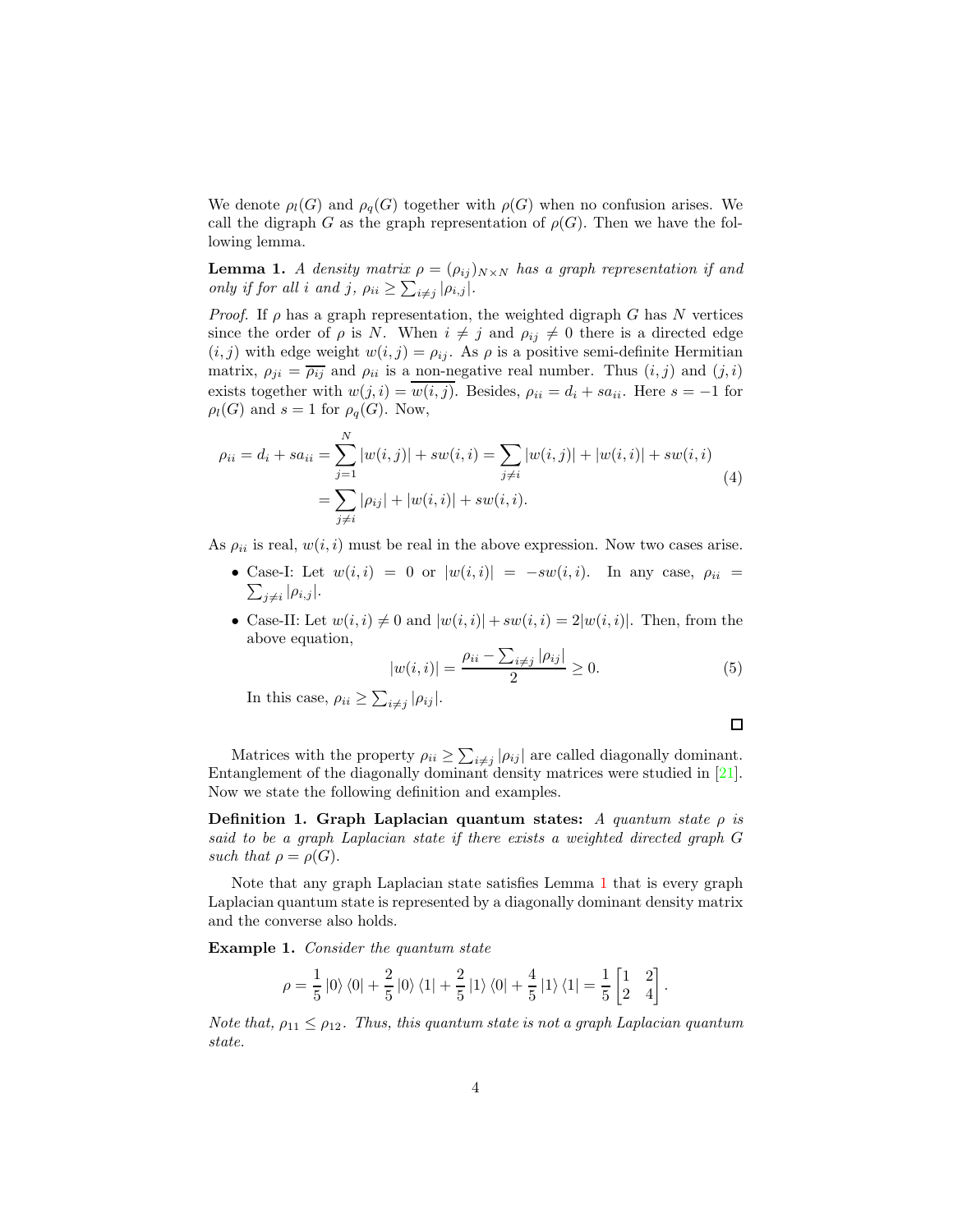We denote  $\rho_l(G)$  and  $\rho_q(G)$  together with  $\rho(G)$  when no confusion arises. We call the digraph G as the graph representation of  $\rho(G)$ . Then we have the following lemma.

**Lemma 1.** A density matrix  $\rho = (\rho_{ij})_{N \times N}$  has a graph representation if and only if for all i and j,  $\rho_{ii} \ge \sum_{i \ne j} |\rho_{i,j}|$ .

*Proof.* If  $\rho$  has a graph representation, the weighted digraph G has N vertices since the order of  $\rho$  is N. When  $i \neq j$  and  $\rho_{ij} \neq 0$  there is a directed edge  $(i, j)$  with edge weight  $w(i, j) = \rho_{ij}$ . As  $\rho$  is a positive semi-definite Hermitian matrix,  $\rho_{ji} = \overline{\rho_{ij}}$  and  $\rho_{ii}$  is a non-negative real number. Thus  $(i, j)$  and  $(j, i)$ exists together with  $w(j, i) = w(i, j)$ . Besides,  $\rho_{ii} = d_i + sa_{ii}$ . Here  $s = -1$  for  $\rho_l(G)$  and  $s = 1$  for  $\rho_q(G)$ . Now,

$$
\rho_{ii} = d_i + sa_{ii} = \sum_{j=1}^{N} |w(i,j)| + sw(i,i) = \sum_{j \neq i} |w(i,j)| + |w(i,i)| + sw(i,i)
$$
  
= 
$$
\sum_{j \neq i} |\rho_{ij}| + |w(i,i)| + sw(i,i).
$$
 (4)

As  $\rho_{ii}$  is real,  $w(i, i)$  must be real in the above expression. Now two cases arise.

- Case-I: Let  $w(i, i) = 0$  or  $|w(i, i)| = -sw(i, i)$ . In any case,  $\rho_{ii} =$  $\sum_{j\neq i} |\rho_{i,j}|.$
- Case-II: Let  $w(i, i) \neq 0$  and  $|w(i, i)| + sw(i, i) = 2|w(i, i)|$ . Then, from the above equation,

$$
|w(i,i)| = \frac{\rho_{ii} - \sum_{i \neq j} |\rho_{ij}|}{2} \ge 0.
$$
 (5)

In this case,  $\rho_{ii} \ge \sum_{i \ne j} |\rho_{ij}|.$ 

Matrices with the property  $\rho_{ii} \geq \sum_{i \neq j} |\rho_{ij}|$  are called diagonally dominant. Entanglement of the diagonally dominant density matrices were studied in [21]. Now we state the following definition and examples.

Definition 1. Graph Laplacian quantum states: A quantum state  $\rho$  is said to be a graph Laplacian state if there exists a weighted directed graph G such that  $\rho = \rho(G)$ .

Note that any graph Laplacian state satisfies Lemma 1 that is every graph Laplacian quantum state is represented by a diagonally dominant density matrix and the converse also holds.

Example 1. Consider the quantum state

$$
\rho = \frac{1}{5} \left| 0 \right\rangle \left\langle 0 \right| + \frac{2}{5} \left| 0 \right\rangle \left\langle 1 \right| + \frac{2}{5} \left| 1 \right\rangle \left\langle 0 \right| + \frac{4}{5} \left| 1 \right\rangle \left\langle 1 \right| = \frac{1}{5} \begin{bmatrix} 1 & 2 \\ 2 & 4 \end{bmatrix}.
$$

Note that,  $\rho_{11} \leq \rho_{12}$ . Thus, this quantum state is not a graph Laplacian quantum state.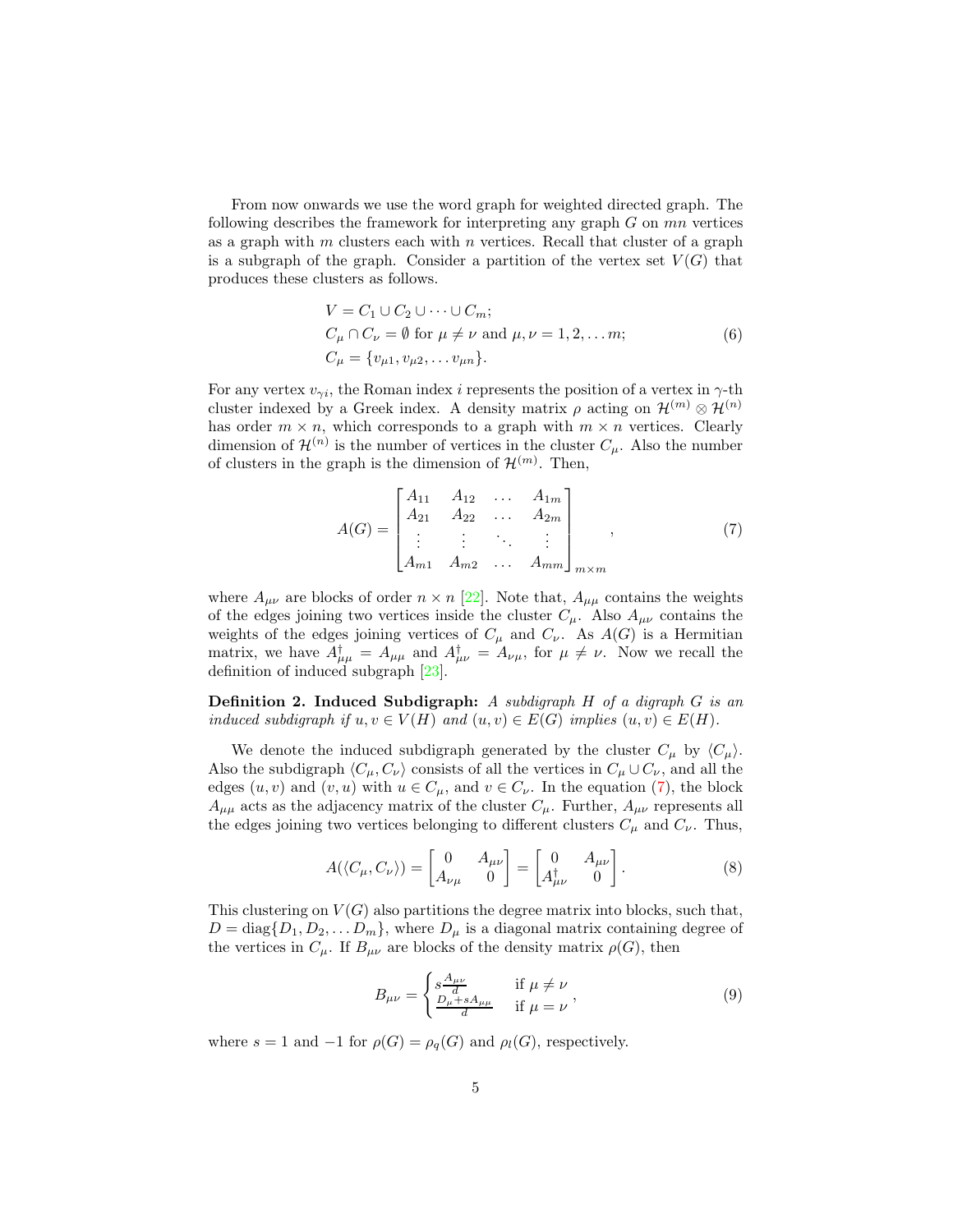From now onwards we use the word graph for weighted directed graph. The following describes the framework for interpreting any graph  $G$  on  $mn$  vertices as a graph with  $m$  clusters each with  $n$  vertices. Recall that cluster of a graph is a subgraph of the graph. Consider a partition of the vertex set  $V(G)$  that produces these clusters as follows.

$$
V = C_1 \cup C_2 \cup \dots \cup C_m;
$$
  
\n
$$
C_{\mu} \cap C_{\nu} = \emptyset \text{ for } \mu \neq \nu \text{ and } \mu, \nu = 1, 2, \dots m;
$$
  
\n
$$
C_{\mu} = \{v_{\mu 1}, v_{\mu 2}, \dots v_{\mu n}\}.
$$
  
\n(6)

For any vertex  $v_{\gamma i}$ , the Roman index *i* represents the position of a vertex in  $\gamma$ -th cluster indexed by a Greek index. A density matrix  $\rho$  acting on  $\mathcal{H}^{(m)} \otimes \mathcal{H}^{(n)}$ has order  $m \times n$ , which corresponds to a graph with  $m \times n$  vertices. Clearly dimension of  $\mathcal{H}^{(n)}$  is the number of vertices in the cluster  $C_{\mu}$ . Also the number of clusters in the graph is the dimension of  $\mathcal{H}^{(m)}$ . Then,

$$
A(G) = \begin{bmatrix} A_{11} & A_{12} & \dots & A_{1m} \\ A_{21} & A_{22} & \dots & A_{2m} \\ \vdots & \vdots & \ddots & \vdots \\ A_{m1} & A_{m2} & \dots & A_{mm} \end{bmatrix}_{m \times m},
$$
 (7)

where  $A_{\mu\nu}$  are blocks of order  $n \times n$  [22]. Note that,  $A_{\mu\mu}$  contains the weights of the edges joining two vertices inside the cluster  $C_{\mu}$ . Also  $A_{\mu\nu}$  contains the weights of the edges joining vertices of  $C_{\mu}$  and  $C_{\nu}$ . As  $A(G)$  is a Hermitian matrix, we have  $A_{\mu\mu}^{\dagger} = A_{\mu\mu}$  and  $A_{\mu\nu}^{\dagger} = A_{\nu\mu}$ , for  $\mu \neq \nu$ . Now we recall the definition of induced subgraph [23].

**Definition 2. Induced Subdigraph:** A subdigraph  $H$  of a digraph  $G$  is an induced subdigraph if  $u, v \in V(H)$  and  $(u, v) \in E(G)$  implies  $(u, v) \in E(H)$ .

We denote the induced subdigraph generated by the cluster  $C_{\mu}$  by  $\langle C_{\mu} \rangle$ . Also the subdigraph  $\langle C_\mu, C_\nu \rangle$  consists of all the vertices in  $C_\mu \cup C_\nu$ , and all the edges  $(u, v)$  and  $(v, u)$  with  $u \in C_{\mu}$ , and  $v \in C_{\nu}$ . In the equation (7), the block  $A_{\mu\mu}$  acts as the adjacency matrix of the cluster  $C_{\mu}$ . Further,  $A_{\mu\nu}$  represents all the edges joining two vertices belonging to different clusters  $C_{\mu}$  and  $C_{\nu}$ . Thus,

$$
A(\langle C_{\mu}, C_{\nu} \rangle) = \begin{bmatrix} 0 & A_{\mu\nu} \\ A_{\nu\mu} & 0 \end{bmatrix} = \begin{bmatrix} 0 & A_{\mu\nu} \\ A_{\mu\nu}^{\dagger} & 0 \end{bmatrix}.
$$
 (8)

This clustering on  $V(G)$  also partitions the degree matrix into blocks, such that,  $D = \text{diag}\{D_1, D_2, \dots D_m\}$ , where  $D_\mu$  is a diagonal matrix containing degree of the vertices in  $C_{\mu}$ . If  $B_{\mu\nu}$  are blocks of the density matrix  $\rho(G)$ , then

$$
B_{\mu\nu} = \begin{cases} s\frac{A_{\mu\nu}}{d} & \text{if } \mu \neq \nu \\ \frac{D_{\mu} + sA_{\mu\mu}}{d} & \text{if } \mu = \nu \end{cases},
$$
(9)

where  $s = 1$  and  $-1$  for  $\rho(G) = \rho_q(G)$  and  $\rho_l(G)$ , respectively.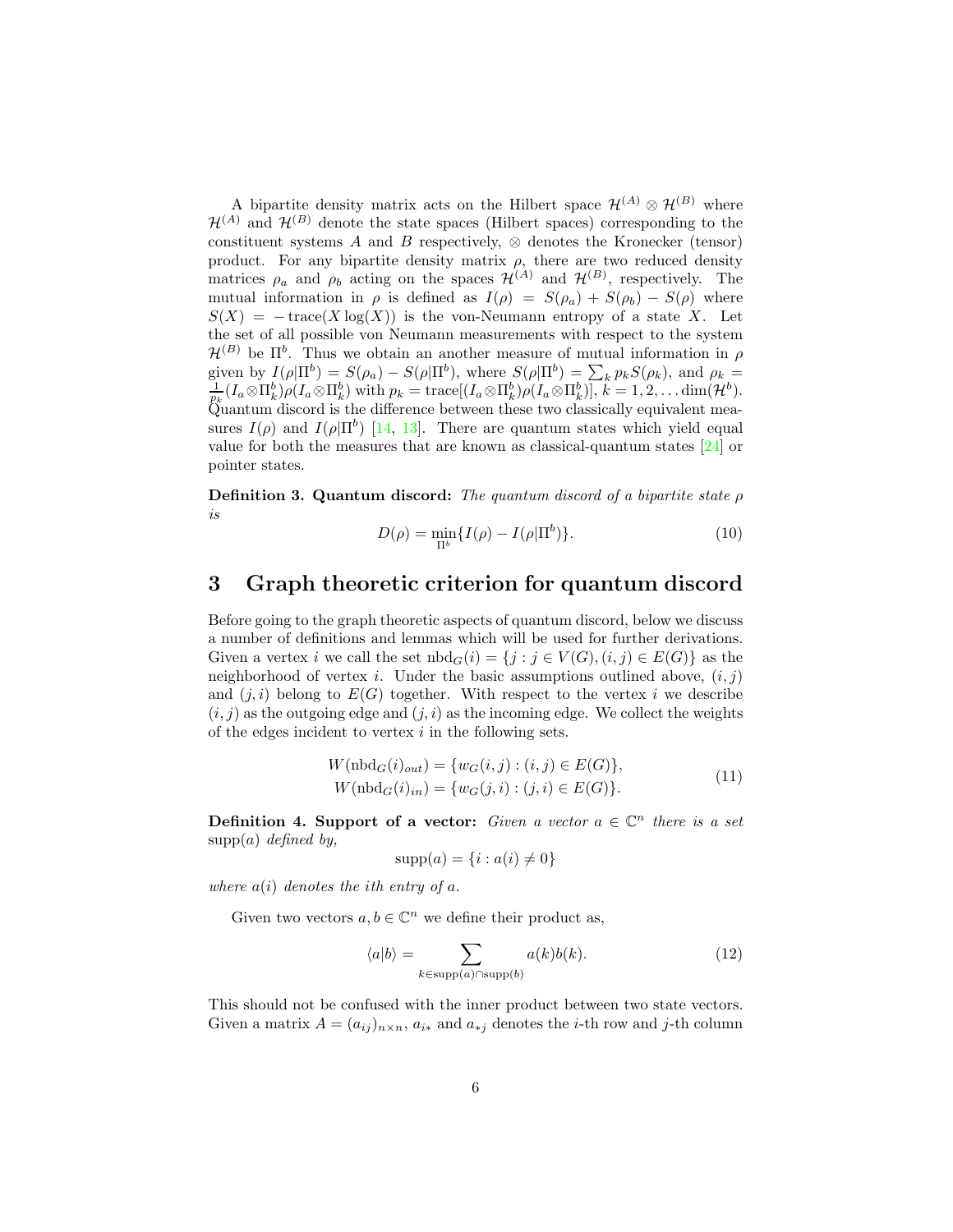A bipartite density matrix acts on the Hilbert space  $\mathcal{H}^{(A)} \otimes \mathcal{H}^{(B)}$  where  $\mathcal{H}^{(A)}$  and  $\mathcal{H}^{(B)}$  denote the state spaces (Hilbert spaces) corresponding to the constituent systems A and B respectively,  $\otimes$  denotes the Kronecker (tensor) product. For any bipartite density matrix  $\rho$ , there are two reduced density matrices  $\rho_a$  and  $\rho_b$  acting on the spaces  $\mathcal{H}^{(A)}$  and  $\mathcal{H}^{(B)}$ , respectively. The mutual information in  $\rho$  is defined as  $I(\rho) = S(\rho_a) + S(\rho_b) - S(\rho)$  where  $S(X) = -\operatorname{trace}(X \log(X))$  is the von-Neumann entropy of a state X. Let the set of all possible von Neumann measurements with respect to the system  $\mathcal{H}^{(B)}$  be  $\Pi^b$ . Thus we obtain an another measure of mutual information in  $\rho$ given by  $I(\rho|\Pi^b) = S(\rho_a) - S(\rho|\Pi^b)$ , where  $S(\rho|\Pi^b) = \sum_k p_k S(\rho_k)$ , and  $\rho_k = \frac{1}{p_k}(I_a \otimes \Pi^b_k) \rho(I_a \otimes \Pi^b_k)$  with  $p_k = \text{trace}[(I_a \otimes \Pi^b_k) \rho(I_a \otimes \Pi^b_k)], k = 1, 2, \dots \text{dim}(\mathcal{H}^b)$ . Quantum discord is the difference between these two classically equivalent measures  $I(\rho)$  and  $I(\rho|\Pi^b)$  [14, 13]. There are quantum states which yield equal value for both the measures that are known as classical-quantum states [24] or pointer states.

**Definition 3. Quantum discord:** The quantum discord of a bipartite state  $\rho$ is

$$
D(\rho) = \min_{\Pi^b} \{ I(\rho) - I(\rho | \Pi^b) \}.
$$
 (10)

# 3 Graph theoretic criterion for quantum discord

Before going to the graph theoretic aspects of quantum discord, below we discuss a number of definitions and lemmas which will be used for further derivations. Given a vertex i we call the set  $\text{nbd}_G(i) = \{j : j \in V(G), (i, j) \in E(G)\}\$ as the neighborhood of vertex i. Under the basic assumptions outlined above,  $(i, j)$ and  $(j, i)$  belong to  $E(G)$  together. With respect to the vertex i we describe  $(i, j)$  as the outgoing edge and  $(j, i)$  as the incoming edge. We collect the weights of the edges incident to vertex  $i$  in the following sets.

$$
W(\text{nbd}_{G}(i)_{out}) = \{w_{G}(i,j) : (i,j) \in E(G)\},\
$$
  
 
$$
W(\text{nbd}_{G}(i)_{in}) = \{w_{G}(j,i) : (j,i) \in E(G)\}.
$$
 (11)

**Definition 4. Support of a vector:** Given a vector  $a \in \mathbb{C}^n$  there is a set  $supp(a)$  defined by,

$$
supp(a) = \{i : a(i) \neq 0\}
$$

where  $a(i)$  denotes the *i*th entry of  $a$ .

Given two vectors  $a, b \in \mathbb{C}^n$  we define their product as,

$$
\langle a|b\rangle = \sum_{k \in \text{supp}(a) \cap \text{supp}(b)} a(k)b(k). \tag{12}
$$

This should not be confused with the inner product between two state vectors. Given a matrix  $A = (a_{ij})_{n \times n}$ ,  $a_{i*}$  and  $a_{*j}$  denotes the *i*-th row and *j*-th column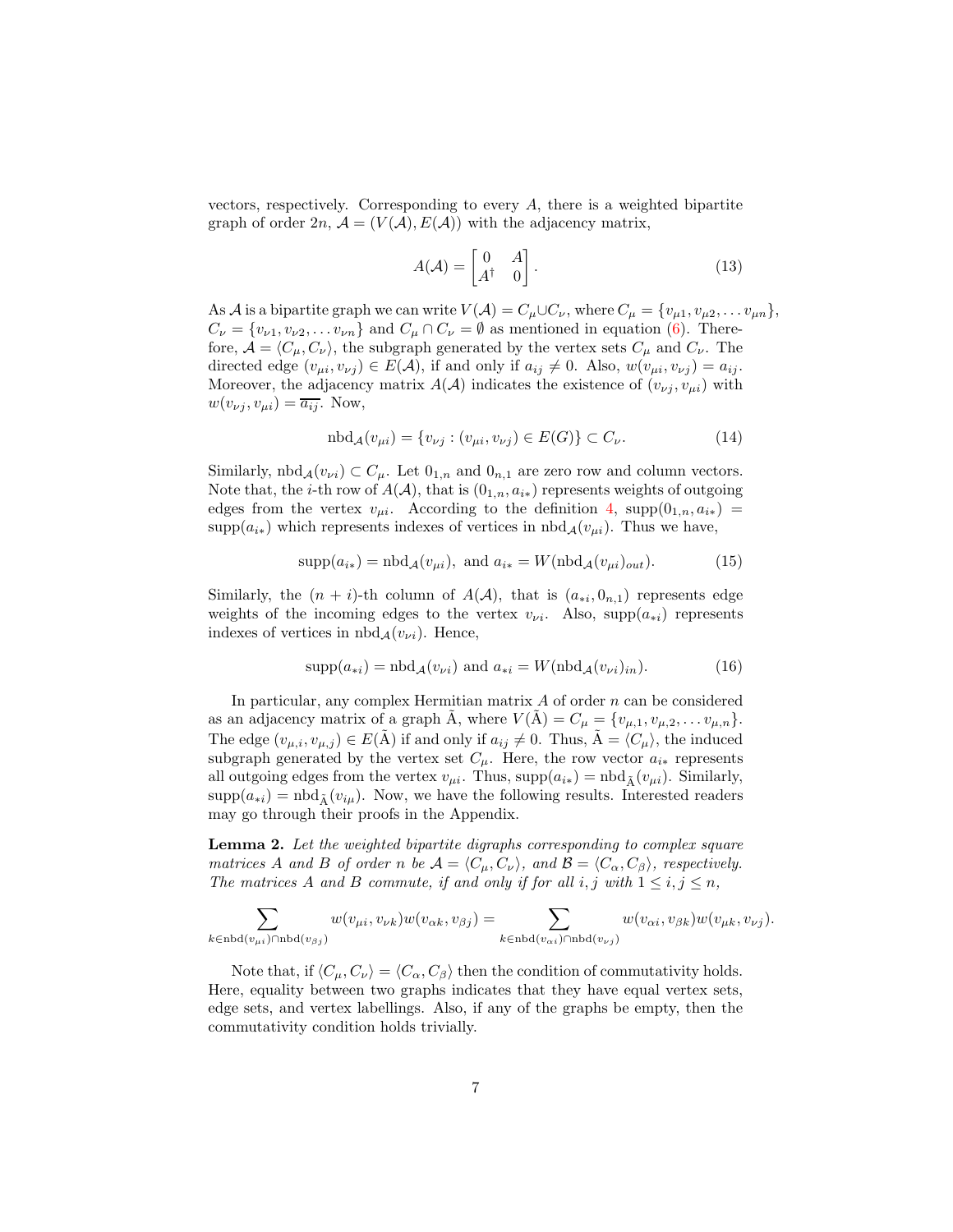vectors, respectively. Corresponding to every A, there is a weighted bipartite graph of order  $2n$ ,  $\mathcal{A} = (V(\mathcal{A}), E(\mathcal{A}))$  with the adjacency matrix,

$$
A(\mathcal{A}) = \begin{bmatrix} 0 & A \\ A^{\dagger} & 0 \end{bmatrix}.
$$
 (13)

As A is a bipartite graph we can write  $V(A) = C_\mu \cup C_\nu$ , where  $C_\mu = \{v_{\mu 1}, v_{\mu 2}, \dots v_{\mu n}\},$  $C_{\nu} = \{v_{\nu 1}, v_{\nu 2}, \dots v_{\nu n}\}\$ and  $C_{\mu} \cap C_{\nu} = \emptyset$  as mentioned in equation (6). Therefore,  $\mathcal{A} = \langle C_\mu, C_\nu \rangle$ , the subgraph generated by the vertex sets  $C_\mu$  and  $C_\nu$ . The directed edge  $(v_{\mu i}, v_{\nu j}) \in E(\mathcal{A})$ , if and only if  $a_{ij} \neq 0$ . Also,  $w(v_{\mu i}, v_{\nu j}) = a_{ij}$ . Moreover, the adjacency matrix  $A(\mathcal{A})$  indicates the existence of  $(v_{\nu j}, v_{\mu i})$  with  $w(v_{\nu j}, v_{\mu i}) = \overline{a_{ij}}$ . Now,

$$
nbd_{\mathcal{A}}(v_{\mu i}) = \{v_{\nu j} : (v_{\mu i}, v_{\nu j}) \in E(G)\} \subset C_{\nu}.
$$
\n(14)

Similarly,  $\text{nbd}_{\mathcal{A}}(v_{\nu i}) \subset C_{\mu}$ . Let  $0_{1,n}$  and  $0_{n,1}$  are zero row and column vectors. Note that, the *i*-th row of  $A(A)$ , that is  $(0_{1,n}, a_{i*})$  represents weights of outgoing edges from the vertex  $v_{\mu i}$ . According to the definition 4,  $supp(0_{1,n}, a_{i*})$  = supp $(a_{i*})$  which represents indexes of vertices in  $nbd_A(v_{\mu i})$ . Thus we have,

$$
supp(a_{i*}) = nbd_{\mathcal{A}}(v_{\mu i}), \text{ and } a_{i*} = W(nbd_{\mathcal{A}}(v_{\mu i})_{out}).
$$
 (15)

Similarly, the  $(n + i)$ -th column of  $A(A)$ , that is  $(a_{*i}, 0_{n,1})$  represents edge weights of the incoming edges to the vertex  $v_{\nu i}$ . Also, supp $(a_{*i})$  represents indexes of vertices in  $\text{nbd}_{\mathcal{A}}(v_{\nu i})$ . Hence,

$$
supp(a_{*i}) = \text{nbd}_{\mathcal{A}}(v_{\nu i}) \text{ and } a_{*i} = W(\text{nbd}_{\mathcal{A}}(v_{\nu i})_{in}).
$$
 (16)

In particular, any complex Hermitian matrix  $A$  of order  $n$  can be considered as an adjacency matrix of a graph A, where  $V(A) = C_{\mu} = \{v_{\mu,1}, v_{\mu,2}, \dots v_{\mu,n}\}.$ The edge  $(v_{\mu,i}, v_{\mu,j}) \in E(\tilde{A})$  if and only if  $a_{ij} \neq 0$ . Thus,  $\tilde{A} = \langle C_{\mu} \rangle$ , the induced subgraph generated by the vertex set  $C_{\mu}$ . Here, the row vector  $a_{i*}$  represents all outgoing edges from the vertex  $v_{\mu i}$ . Thus,  $supp(a_{i*}) = \text{nbd}_{\tilde{A}}(v_{\mu i})$ . Similarly,  $\text{supp}(a_{*i}) = \text{nbd}_{\tilde{\Lambda}}(v_{i\mu}).$  Now, we have the following results. Interested readers may go through their proofs in the Appendix.

Lemma 2. Let the weighted bipartite digraphs corresponding to complex square matrices A and B of order n be  $A = \langle C_{\mu}, C_{\nu} \rangle$ , and  $\mathcal{B} = \langle C_{\alpha}, C_{\beta} \rangle$ , respectively. The matrices A and B commute, if and only if for all i, j with  $1 \le i, j \le n$ ,

$$
\sum_{k\in\text{nbd}(v_{\mu i})\cap\text{nbd}(v_{\beta j})}w(v_{\mu i},v_{\nu k})w(v_{\alpha k},v_{\beta j})=\sum_{k\in\text{nbd}(v_{\alpha i})\cap\text{nbd}(v_{\nu j})}w(v_{\alpha i},v_{\beta k})w(v_{\mu k},v_{\nu j}).
$$

Note that, if  $\langle C_\mu, C_\nu \rangle = \langle C_\alpha, C_\beta \rangle$  then the condition of commutativity holds. Here, equality between two graphs indicates that they have equal vertex sets, edge sets, and vertex labellings. Also, if any of the graphs be empty, then the commutativity condition holds trivially.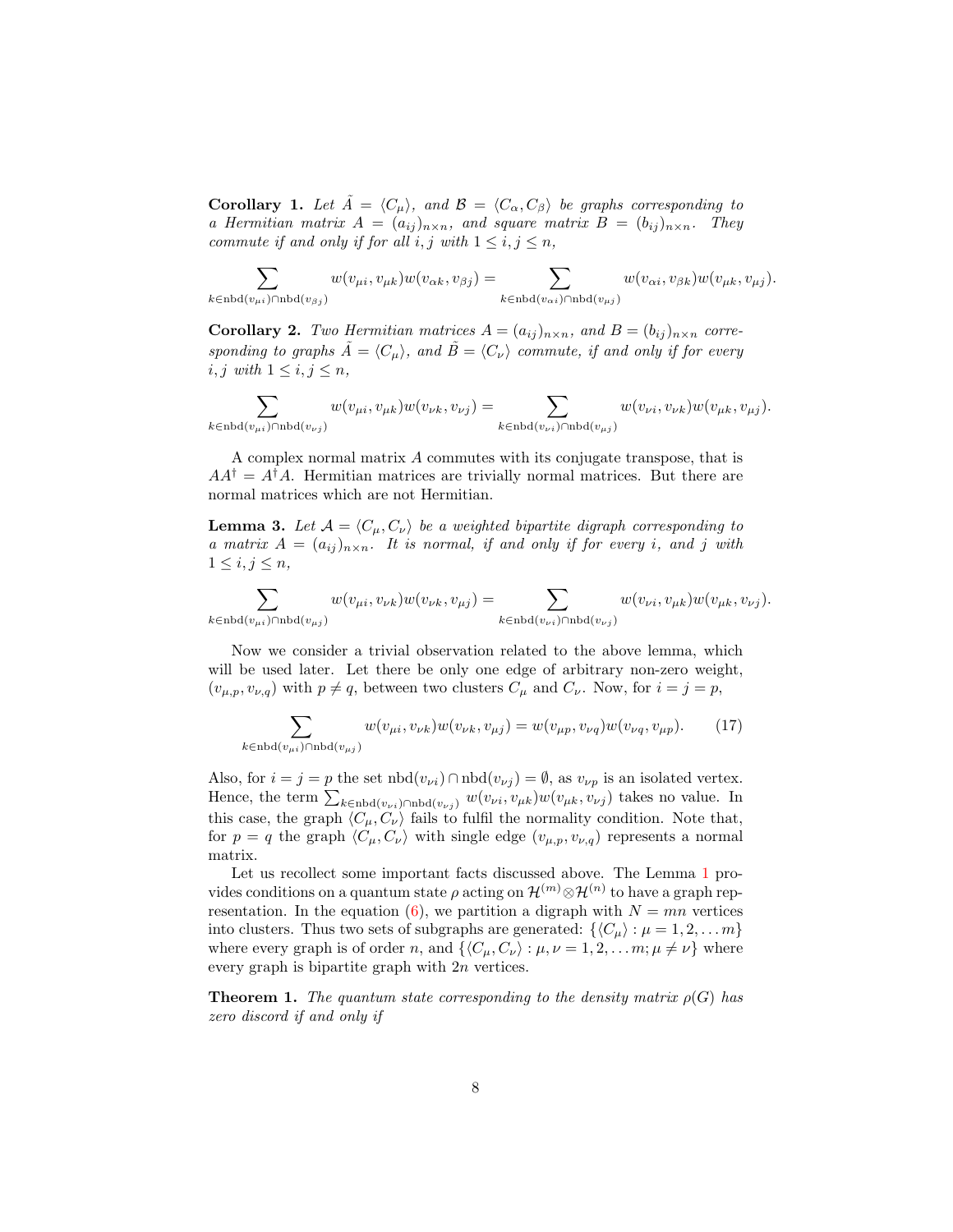**Corollary 1.** Let  $\tilde{A} = \langle C_{\mu} \rangle$ , and  $\mathcal{B} = \langle C_{\alpha}, C_{\beta} \rangle$  be graphs corresponding to a Hermitian matrix  $A = (a_{ij})_{n \times n}$ , and square matrix  $B = (b_{ij})_{n \times n}$ . They commute if and only if for all  $i, j$  with  $1 \leq i, j \leq n$ ,

 $\sum$  $k \in \text{nbd}(v_{\mu i}) \cap \text{nbd}(v_{\beta j})$  $w(v_{\mu i}, v_{\mu k})w(v_{\alpha k}, v_{\beta j}) = \sum$  $k \in \text{nbd}(v_{\alpha i}) \cap \text{nbd}(v_{\mu j})$  $w(v_{\alpha i}, v_{\beta k})w(v_{\mu k}, v_{\mu j}).$ 

**Corollary 2.** Two Hermitian matrices  $A = (a_{ij})_{n \times n}$ , and  $B = (b_{ij})_{n \times n}$  corresponding to graphs  $\tilde{A} = \langle C_{\mu} \rangle$ , and  $\tilde{B} = \langle C_{\nu} \rangle$  commute, if and only if for every i, j with  $1 \leq i, j \leq n$ ,

$$
\sum_{k\in\text{nbd}(v_{\mu i})\cap\text{nbd}(v_{\nu j})}w(v_{\mu i},v_{\mu k})w(v_{\nu k},v_{\nu j})=\sum_{k\in\text{nbd}(v_{\nu i})\cap\text{nbd}(v_{\mu j})}w(v_{\nu i},v_{\nu k})w(v_{\mu k},v_{\mu j}).
$$

A complex normal matrix A commutes with its conjugate transpose, that is  $AA^{\dagger} = A^{\dagger}A$ . Hermitian matrices are trivially normal matrices. But there are normal matrices which are not Hermitian.

**Lemma 3.** Let  $A = \langle C_\mu, C_\nu \rangle$  be a weighted bipartite digraph corresponding to a matrix  $A = (a_{ij})_{n \times n}$ . It is normal, if and only if for every i, and j with  $1 \leq i, j \leq n,$ 

$$
\sum_{k\in\operatorname{nbd}(v_{\mu i})\cap\operatorname{nbd}(v_{\mu j})}w(v_{\mu i},v_{\nu k})w(v_{\nu k},v_{\mu j})=\sum_{k\in\operatorname{nbd}(v_{\nu i})\cap\operatorname{nbd}(v_{\nu j})}w(v_{\nu i},v_{\mu k})w(v_{\mu k},v_{\nu j}).
$$

Now we consider a trivial observation related to the above lemma, which will be used later. Let there be only one edge of arbitrary non-zero weight,  $(v_{\mu,p}, v_{\nu,q})$  with  $p \neq q$ , between two clusters  $C_{\mu}$  and  $C_{\nu}$ . Now, for  $i = j = p$ ,

$$
\sum_{k \in \text{nbd}(v_{\mu i}) \cap \text{nbd}(v_{\mu j})} w(v_{\mu i}, v_{\nu k}) w(v_{\nu k}, v_{\mu j}) = w(v_{\mu p}, v_{\nu q}) w(v_{\nu q}, v_{\mu p}). \tag{17}
$$

Also, for  $i = j = p$  the set  $nbd(v_{\nu i}) \cap nbd(v_{\nu j}) = \emptyset$ , as  $v_{\nu p}$  is an isolated vertex. Hence, the term  $\sum_{k \in \text{nbd}(v_{\nu i}) \cap \text{nbd}(v_{\nu j})} w(v_{\nu i}, v_{\mu k})w(v_{\mu k}, v_{\nu j})$  takes no value. In this case, the graph  $\langle C_\mu, C_\nu \rangle$  fails to fulfil the normality condition. Note that, for  $p = q$  the graph  $\langle C_{\mu}, C_{\nu} \rangle$  with single edge  $(v_{\mu, p}, v_{\nu, q})$  represents a normal matrix.

Let us recollect some important facts discussed above. The Lemma 1 provides conditions on a quantum state  $\rho$  acting on  $\mathcal{H}^{(m)}\otimes\mathcal{H}^{(n)}$  to have a graph representation. In the equation (6), we partition a digraph with  $N = mn$  vertices into clusters. Thus two sets of subgraphs are generated:  $\{\langle C_\mu \rangle : \mu = 1, 2, \ldots m\}$ where every graph is of order n, and  $\{\langle C_\mu, C_\nu \rangle : \mu, \nu = 1, 2, \ldots m; \mu \neq \nu\}$  where every graph is bipartite graph with 2n vertices.

**Theorem 1.** The quantum state corresponding to the density matrix  $\rho(G)$  has zero discord if and only if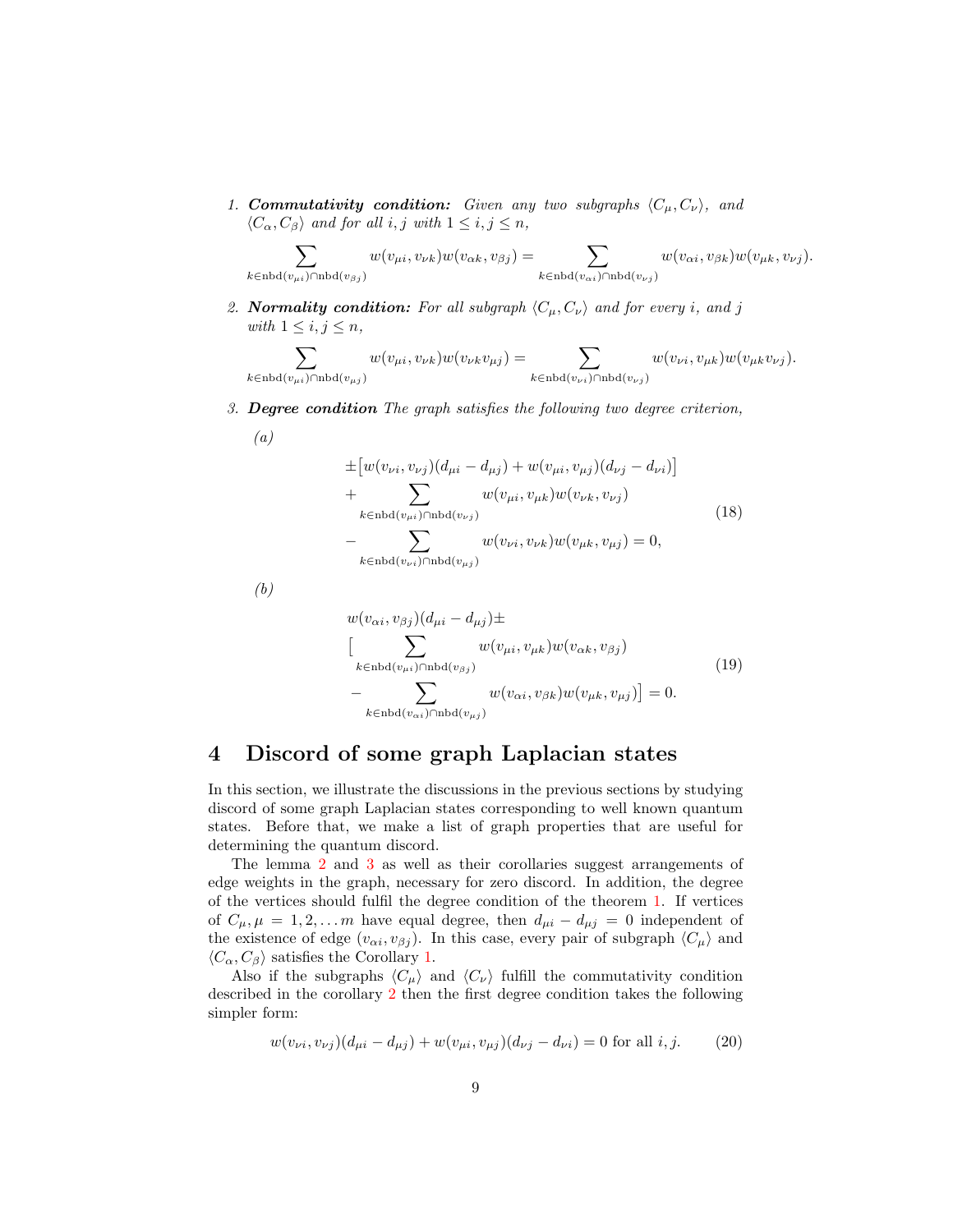1. **Commutativity condition:** Given any two subgraphs  $\langle C_\mu, C_\nu \rangle$ , and  $\langle C_{\alpha}, C_{\beta} \rangle$  and for all i, j with  $1 \leq i, j \leq n$ ,

$$
\sum_{k \in \text{nbd}(v_{\mu i}) \cap \text{nbd}(v_{\beta j})} w(v_{\mu i}, v_{\nu k}) w(v_{\alpha k}, v_{\beta j}) = \sum_{k \in \text{nbd}(v_{\alpha i}) \cap \text{nbd}(v_{\nu j})} w(v_{\alpha i}, v_{\beta k}) w(v_{\mu k}, v_{\nu j}).
$$

2. Normality condition: For all subgraph  $\langle C_\mu, C_\nu \rangle$  and for every i, and j with  $1 \leq i, j \leq n$ ,

 $\sum$  $k \in \text{nbd}(v_{\mu i}) \cap \text{nbd}(v_{\mu j})$  $w(v_{\mu i}, v_{\nu k})w(v_{\nu k}v_{\mu j}) = \sum$  $k \in \text{nbd}(v_{\nu i}) \cap \text{nbd}(v_{\nu j})$  $w(v_{\nu i}, v_{\mu k})w(v_{\mu k}v_{\nu j}).$ 

3. Degree condition The graph satisfies the following two degree criterion,

$$
(a)
$$

$$
\pm [w(v_{\nu i}, v_{\nu j})(d_{\mu i} - d_{\mu j}) + w(v_{\mu i}, v_{\mu j})(d_{\nu j} - d_{\nu i})]
$$
  
+ 
$$
\sum_{k \in \text{nbd}(v_{\mu i}) \cap \text{nbd}(v_{\nu j})} w(v_{\mu i}, v_{\mu k}) w(v_{\nu k}, v_{\nu j})
$$
  
- 
$$
\sum_{k \in \text{nbd}(v_{\nu i}) \cap \text{nbd}(v_{\mu j})} w(v_{\nu i}, v_{\nu k}) w(v_{\mu k}, v_{\mu j}) = 0,
$$
 (18)

(b)

$$
w(v_{\alpha i}, v_{\beta j})(d_{\mu i} - d_{\mu j}) \pm
$$
\n
$$
\left[ \sum_{k \in \text{nbd}(v_{\mu i}) \cap \text{nbd}(v_{\beta j})} w(v_{\mu i}, v_{\mu k}) w(v_{\alpha k}, v_{\beta j}) - \sum_{k \in \text{nbd}(v_{\alpha i}) \cap \text{nbd}(v_{\mu j})} w(v_{\alpha i}, v_{\beta k}) w(v_{\mu k}, v_{\mu j}) \right] = 0.
$$
\n
$$
(19)
$$

# 4 Discord of some graph Laplacian states

In this section, we illustrate the discussions in the previous sections by studying discord of some graph Laplacian states corresponding to well known quantum states. Before that, we make a list of graph properties that are useful for determining the quantum discord.

The lemma 2 and 3 as well as their corollaries suggest arrangements of edge weights in the graph, necessary for zero discord. In addition, the degree of the vertices should fulfil the degree condition of the theorem 1. If vertices of  $C_{\mu}, \mu = 1, 2, \dots$  m have equal degree, then  $d_{\mu i} - d_{\mu j} = 0$  independent of the existence of edge  $(v_{\alpha i}, v_{\beta j})$ . In this case, every pair of subgraph  $\langle C_{\mu} \rangle$  and  $\langle C_{\alpha}, C_{\beta} \rangle$  satisfies the Corollary 1.

Also if the subgraphs  $\langle C_{\mu} \rangle$  and  $\langle C_{\nu} \rangle$  fulfill the commutativity condition described in the corollary 2 then the first degree condition takes the following simpler form:

$$
w(v_{\nu i}, v_{\nu j})(d_{\mu i} - d_{\mu j}) + w(v_{\mu i}, v_{\mu j})(d_{\nu j} - d_{\nu i}) = 0 \text{ for all } i, j.
$$
 (20)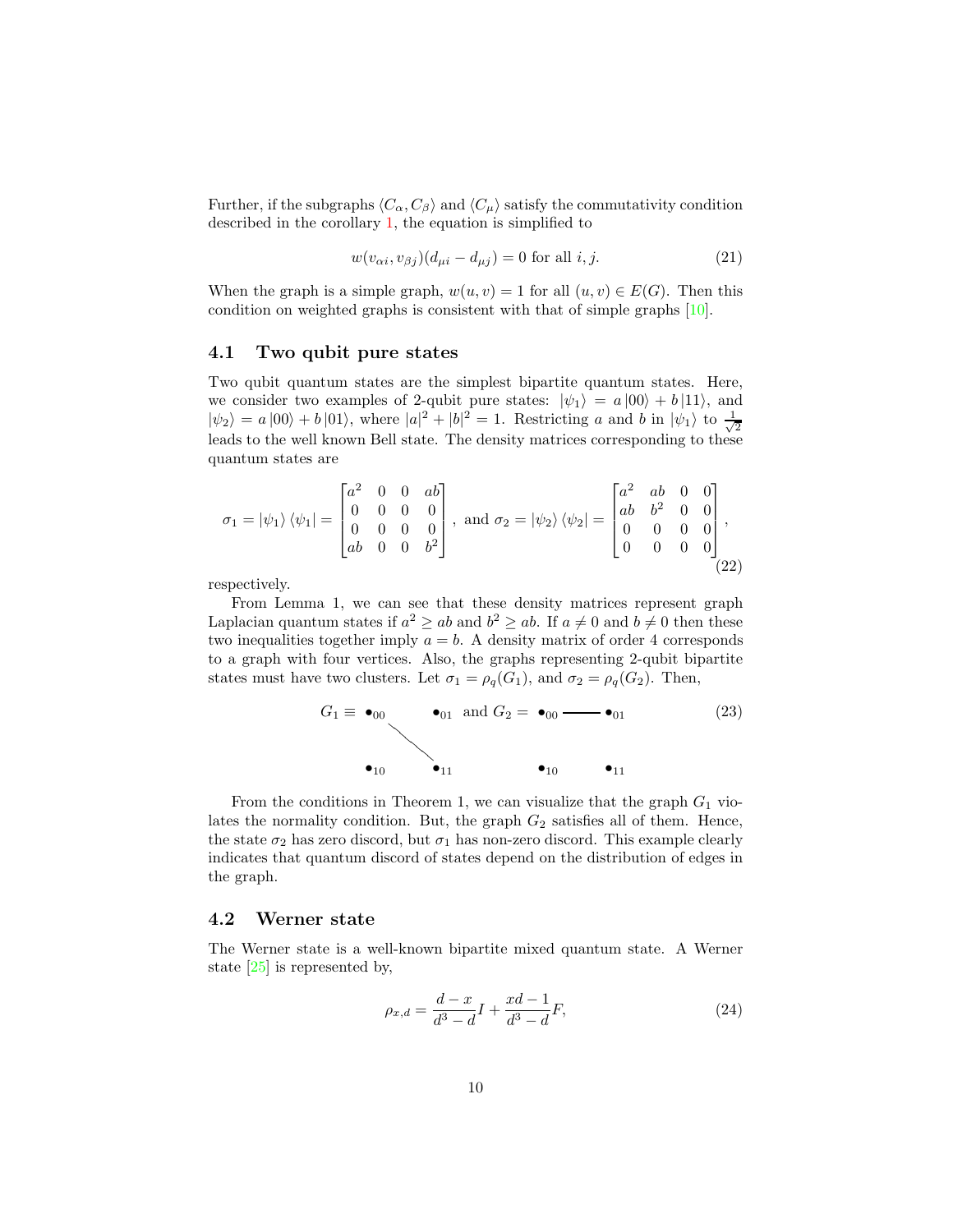Further, if the subgraphs  $\langle C_{\alpha}, C_{\beta} \rangle$  and  $\langle C_{\mu} \rangle$  satisfy the commutativity condition described in the corollary 1, the equation is simplified to

$$
w(v_{\alpha i}, v_{\beta j})(d_{\mu i} - d_{\mu j}) = 0 \text{ for all } i, j.
$$
 (21)

When the graph is a simple graph,  $w(u, v) = 1$  for all  $(u, v) \in E(G)$ . Then this condition on weighted graphs is consistent with that of simple graphs [10].

#### 4.1 Two qubit pure states

Two qubit quantum states are the simplest bipartite quantum states. Here, we consider two examples of 2-qubit pure states:  $|\psi_1\rangle = a |00\rangle + b |11\rangle$ , and  $|\psi_2\rangle = a |00\rangle + b |01\rangle$ , where  $|a|^2 + |b|^2 = 1$ . Restricting a and b in  $|\psi_1\rangle$  to  $\frac{1}{\sqrt{2}}$ 2 leads to the well known Bell state. The density matrices corresponding to these quantum states are

$$
\sigma_1 = |\psi_1\rangle \langle \psi_1| = \begin{bmatrix} a^2 & 0 & 0 & ab \\ 0 & 0 & 0 & 0 \\ 0 & 0 & 0 & 0 \\ ab & 0 & 0 & b^2 \end{bmatrix}, \text{ and } \sigma_2 = |\psi_2\rangle \langle \psi_2| = \begin{bmatrix} a^2 & ab & 0 & 0 \\ ab & b^2 & 0 & 0 \\ 0 & 0 & 0 & 0 \\ 0 & 0 & 0 & 0 \end{bmatrix},
$$
\n(22)

respectively.

From Lemma 1, we can see that these density matrices represent graph Laplacian quantum states if  $a^2 \ge ab$  and  $b^2 \ge ab$ . If  $a \ne 0$  and  $b \ne 0$  then these two inequalities together imply  $a = b$ . A density matrix of order 4 corresponds to a graph with four vertices. Also, the graphs representing 2-qubit bipartite states must have two clusters. Let  $\sigma_1 = \rho_q(G_1)$ , and  $\sigma_2 = \rho_q(G_2)$ . Then,

$$
G_1 \equiv \bullet_{00} \qquad \bullet_{01} \text{ and } G_2 = \bullet_{00} \longrightarrow \bullet_{01} \tag{23}
$$
\n
$$
\bullet_{10} \qquad \bullet_{11} \qquad \bullet_{10} \qquad \bullet_{11}
$$

From the conditions in Theorem 1, we can visualize that the graph  $G_1$  violates the normality condition. But, the graph  $G_2$  satisfies all of them. Hence, the state  $\sigma_2$  has zero discord, but  $\sigma_1$  has non-zero discord. This example clearly indicates that quantum discord of states depend on the distribution of edges in the graph.

#### 4.2 Werner state

The Werner state is a well-known bipartite mixed quantum state. A Werner state [25] is represented by,

$$
\rho_{x,d} = \frac{d-x}{d^3 - d} I + \frac{xd - 1}{d^3 - d} F,\tag{24}
$$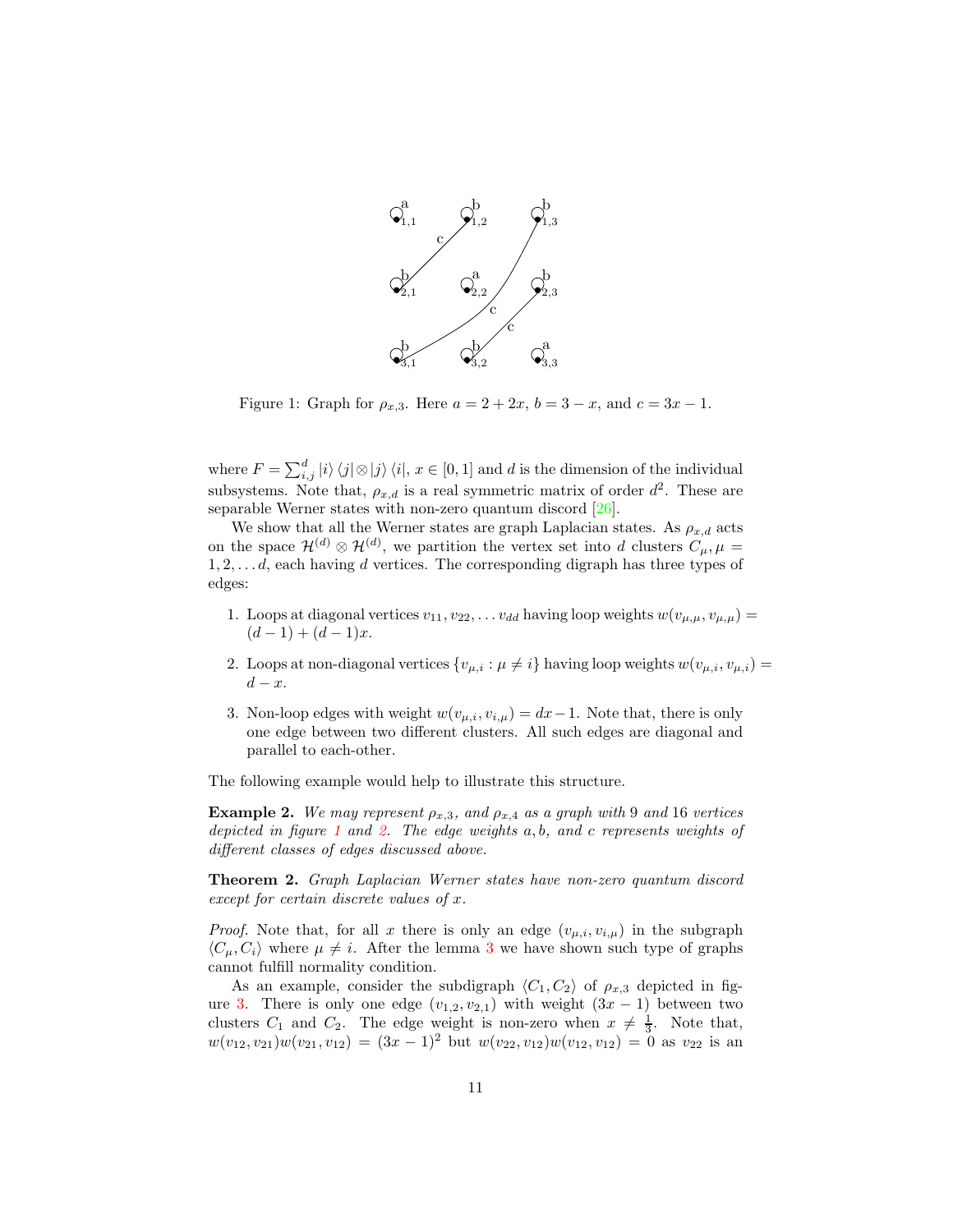

Figure 1: Graph for  $\rho_{x,3}$ . Here  $a = 2 + 2x$ ,  $b = 3 - x$ , and  $c = 3x - 1$ .

where  $F = \sum_{i,j}^d |i\rangle\langle j| \otimes |j\rangle\langle i|, x \in [0,1]$  and d is the dimension of the individual subsystems. Note that,  $\rho_{x,d}$  is a real symmetric matrix of order  $d^2$ . These are separable Werner states with non-zero quantum discord [26].

We show that all the Werner states are graph Laplacian states. As  $\rho_{x,d}$  acts on the space  $\mathcal{H}^{(d)} \otimes \mathcal{H}^{(d)}$ , we partition the vertex set into d clusters  $C_{\mu}, \mu =$  $1, 2, \ldots d$ , each having d vertices. The corresponding digraph has three types of edges:

- 1. Loops at diagonal vertices  $v_{11}, v_{22}, \ldots v_{dd}$  having loop weights  $w(v_{\mu,\mu}, v_{\mu,\mu}) =$  $(d-1) + (d-1)x$ .
- 2. Loops at non-diagonal vertices  $\{v_{\mu,i} : \mu \neq i\}$  having loop weights  $w(v_{\mu,i}, v_{\mu,i}) =$  $d - x$ .
- 3. Non-loop edges with weight  $w(v_{\mu,i}, v_{i,\mu}) = dx 1$ . Note that, there is only one edge between two different clusters. All such edges are diagonal and parallel to each-other.

The following example would help to illustrate this structure.

**Example 2.** We may represent  $\rho_{x,3}$ , and  $\rho_{x,4}$  as a graph with 9 and 16 vertices depicted in figure 1 and 2. The edge weights a, b, and c represents weights of different classes of edges discussed above.

Theorem 2. Graph Laplacian Werner states have non-zero quantum discord except for certain discrete values of x.

*Proof.* Note that, for all x there is only an edge  $(v_{\mu,i}, v_{i,\mu})$  in the subgraph  $\langle C_{\mu}, C_{i} \rangle$  where  $\mu \neq i$ . After the lemma 3 we have shown such type of graphs cannot fulfill normality condition.

As an example, consider the subdigraph  $\langle C_1, C_2 \rangle$  of  $\rho_{x,3}$  depicted in figure 3. There is only one edge  $(v_{1,2}, v_{2,1})$  with weight  $(3x - 1)$  between two clusters  $C_1$  and  $C_2$ . The edge weight is non-zero when  $x \neq \frac{1}{3}$ . Note that,  $w(v_{12}, v_{21})w(v_{21}, v_{12}) = (3x - 1)^2$  but  $w(v_{22}, v_{12})w(v_{12}, v_{12}) = 0$  as  $v_{22}$  is an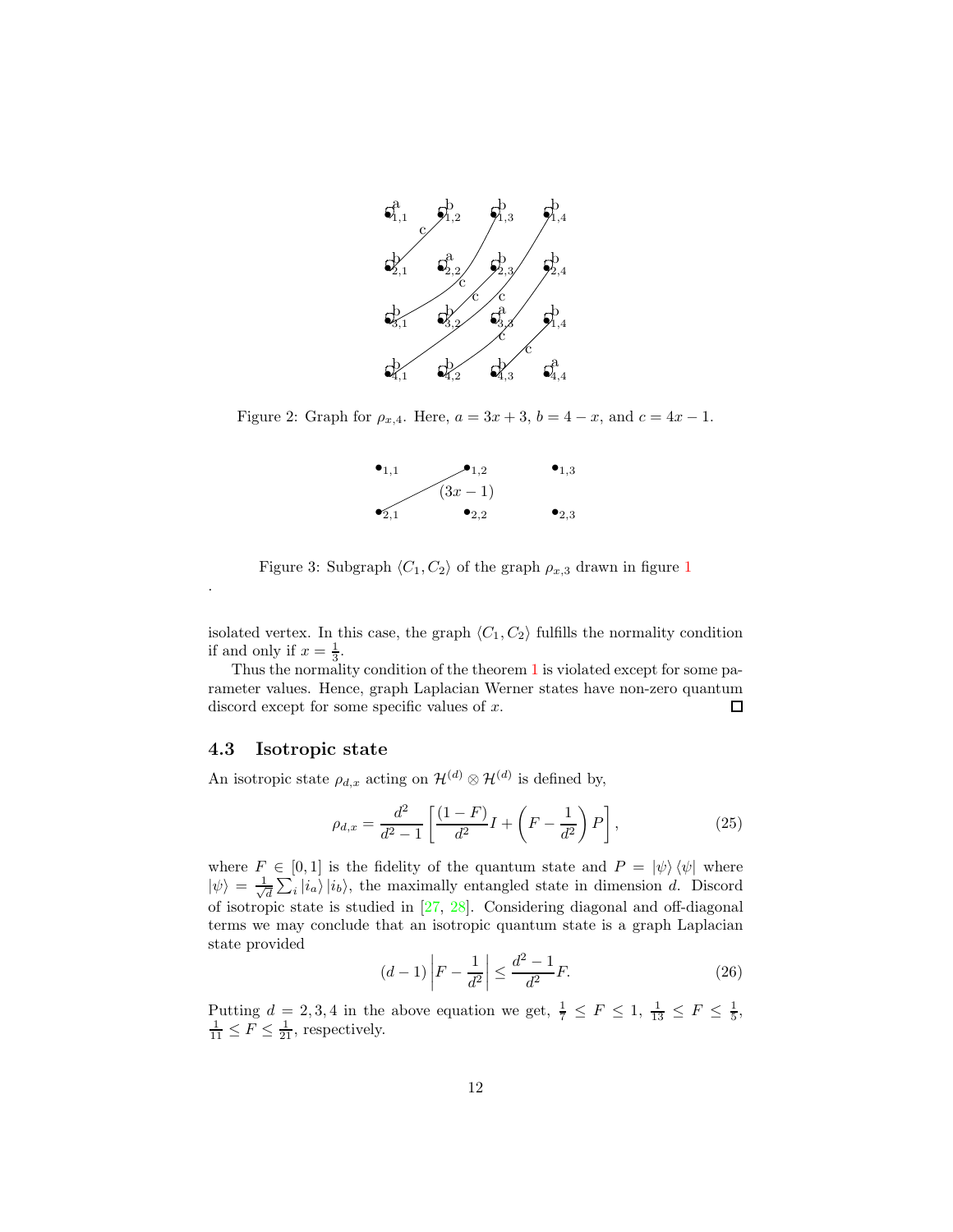

Figure 2: Graph for  $\rho_{x,4}$ . Here,  $a = 3x + 3$ ,  $b = 4 - x$ , and  $c = 4x - 1$ .



Figure 3: Subgraph  $\langle C_1, C_2 \rangle$  of the graph  $\rho_{x,3}$  drawn in figure 1

isolated vertex. In this case, the graph  $\langle C_1, C_2 \rangle$  fulfills the normality condition if and only if  $x = \frac{1}{3}$ .

Thus the normality condition of the theorem 1 is violated except for some parameter values. Hence, graph Laplacian Werner states have non-zero quantum discord except for some specific values of x. 口

#### 4.3 Isotropic state

.

An isotropic state  $\rho_{d,x}$  acting on  $\mathcal{H}^{(d)} \otimes \mathcal{H}^{(d)}$  is defined by,

$$
\rho_{d,x} = \frac{d^2}{d^2 - 1} \left[ \frac{(1 - F)}{d^2} I + \left( F - \frac{1}{d^2} \right) P \right],
$$
\n(25)

where  $F \in [0,1]$  is the fidelity of the quantum state and  $P = |\psi\rangle \langle \psi|$  where  $|\psi\rangle = \frac{1}{\sqrt{2}}$  $\frac{1}{d} \sum_{i} |i_a\rangle |i_b\rangle$ , the maximally entangled state in dimension d. Discord of isotropic state is studied in [27, 28]. Considering diagonal and off-diagonal terms we may conclude that an isotropic quantum state is a graph Laplacian state provided

$$
(d-1)\left|F - \frac{1}{d^2}\right| \le \frac{d^2 - 1}{d^2} F.
$$
 (26)

Putting  $d = 2, 3, 4$  in the above equation we get,  $\frac{1}{7} \leq F \leq 1$ ,  $\frac{1}{13} \leq F \leq \frac{1}{5}$ ,  $\frac{1}{11} \leq F \leq \frac{1}{21}$ , respectively.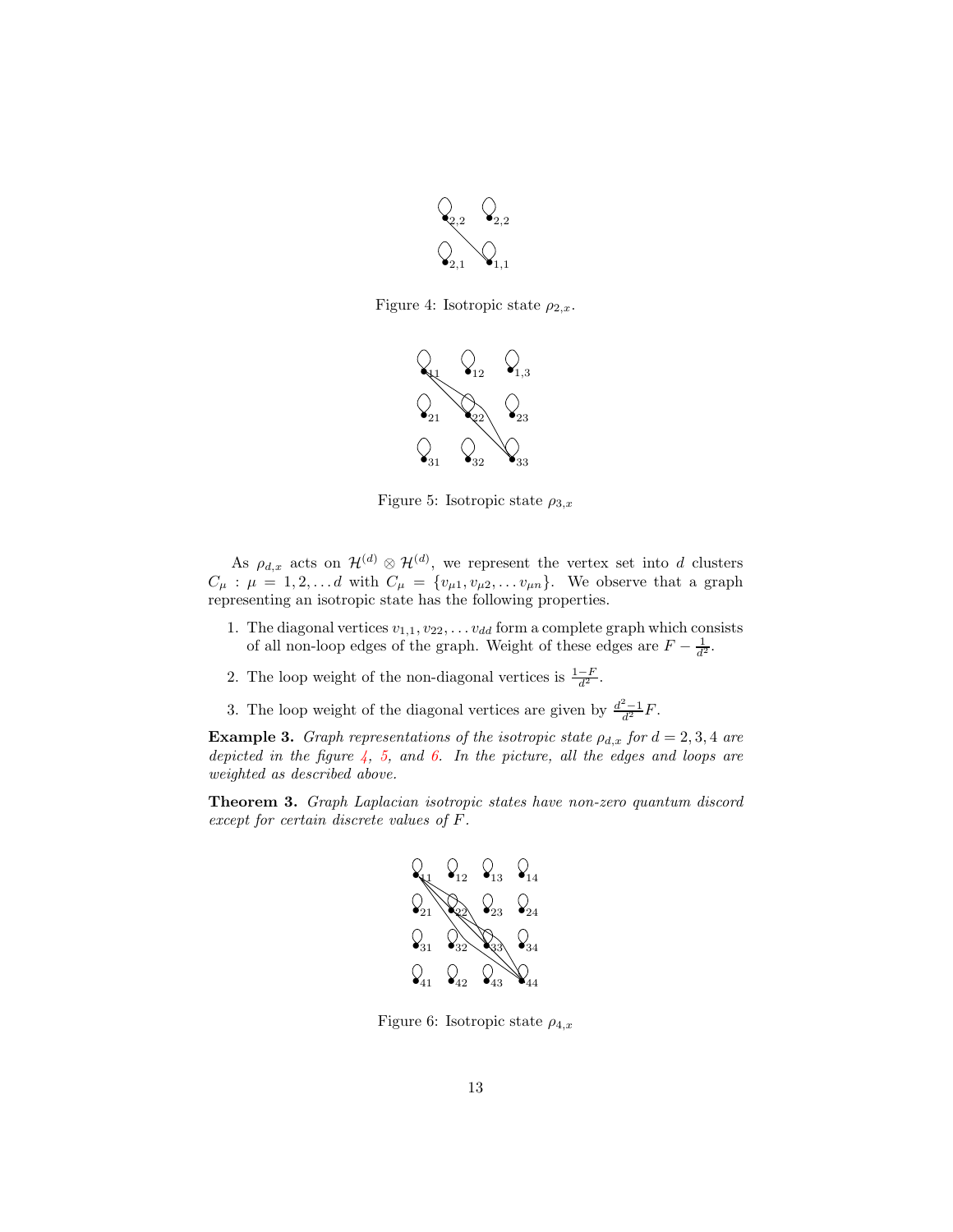

Figure 4: Isotropic state  $\rho_{2,x}$ .



Figure 5: Isotropic state  $\rho_{3,x}$ 

As  $\rho_{d,x}$  acts on  $\mathcal{H}^{(d)} \otimes \mathcal{H}^{(d)}$ , we represent the vertex set into d clusters  $C_{\mu}$ :  $\mu = 1, 2, \ldots d$  with  $C_{\mu} = \{v_{\mu 1}, v_{\mu 2}, \ldots v_{\mu n}\}.$  We observe that a graph representing an isotropic state has the following properties.

- 1. The diagonal vertices  $v_{1,1}, v_{22}, \ldots v_{dd}$  form a complete graph which consists of all non-loop edges of the graph. Weight of these edges are  $F - \frac{1}{d^2}$ .
- 2. The loop weight of the non-diagonal vertices is  $\frac{1-F}{d^2}$ .
- 3. The loop weight of the diagonal vertices are given by  $\frac{d^2-1}{d^2}F$ .

**Example 3.** Graph representations of the isotropic state  $\rho_{d,x}$  for  $d = 2,3,4$  are depicted in the figure  $4, 5,$  and 6. In the picture, all the edges and loops are weighted as described above.

Theorem 3. Graph Laplacian isotropic states have non-zero quantum discord except for certain discrete values of F.



Figure 6: Isotropic state  $\rho_{4,x}$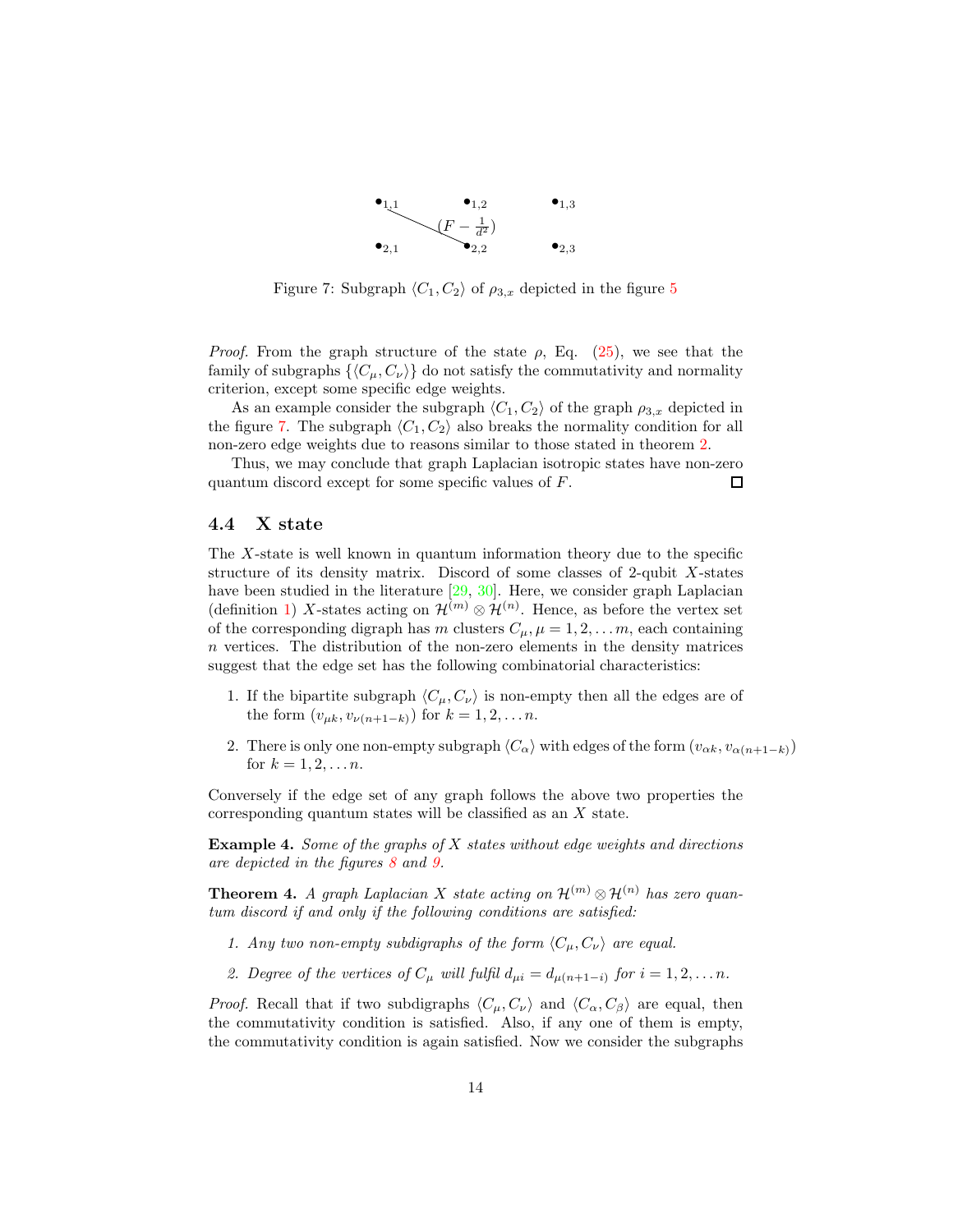

Figure 7: Subgraph  $\langle C_1, C_2 \rangle$  of  $\rho_{3,x}$  depicted in the figure 5

*Proof.* From the graph structure of the state  $\rho$ , Eq. (25), we see that the family of subgraphs  $\{\langle C_\mu, C_\nu \rangle\}$  do not satisfy the commutativity and normality criterion, except some specific edge weights.

As an example consider the subgraph  $\langle C_1, C_2 \rangle$  of the graph  $\rho_{3,x}$  depicted in the figure 7. The subgraph  $\langle C_1, C_2 \rangle$  also breaks the normality condition for all non-zero edge weights due to reasons similar to those stated in theorem 2.

Thus, we may conclude that graph Laplacian isotropic states have non-zero □ quantum discord except for some specific values of F.

#### 4.4 X state

The X-state is well known in quantum information theory due to the specific structure of its density matrix. Discord of some classes of 2-qubit  $X$ -states have been studied in the literature [29, 30]. Here, we consider graph Laplacian (definition 1) X-states acting on  $\mathcal{H}^{(m)} \otimes \mathcal{H}^{(n)}$ . Hence, as before the vertex set of the corresponding digraph has m clusters  $C_{\mu}$ ,  $\mu = 1, 2, \ldots m$ , each containing n vertices. The distribution of the non-zero elements in the density matrices suggest that the edge set has the following combinatorial characteristics:

- 1. If the bipartite subgraph  $\langle C_\mu, C_\nu \rangle$  is non-empty then all the edges are of the form  $(v_{\mu k}, v_{\nu(n+1-k)})$  for  $k = 1, 2, ..., n$ .
- 2. There is only one non-empty subgraph  $\langle C_{\alpha} \rangle$  with edges of the form  $(v_{\alpha k}, v_{\alpha(n+1-k)})$ for  $k = 1, 2, ..., n$ .

Conversely if the edge set of any graph follows the above two properties the corresponding quantum states will be classified as an X state.

**Example 4.** Some of the graphs of  $X$  states without edge weights and directions are depicted in the figures 8 and 9.

**Theorem 4.** A graph Laplacian X state acting on  $\mathcal{H}^{(m)} \otimes \mathcal{H}^{(n)}$  has zero quantum discord if and only if the following conditions are satisfied:

- 1. Any two non-empty subdigraphs of the form  $\langle C_\mu, C_\nu \rangle$  are equal.
- 2. Degree of the vertices of  $C_{\mu}$  will fulfil  $d_{\mu i} = d_{\mu(n+1-i)}$  for  $i = 1, 2, \ldots n$ .

*Proof.* Recall that if two subdigraphs  $\langle C_u, C_v \rangle$  and  $\langle C_\alpha, C_\beta \rangle$  are equal, then the commutativity condition is satisfied. Also, if any one of them is empty, the commutativity condition is again satisfied. Now we consider the subgraphs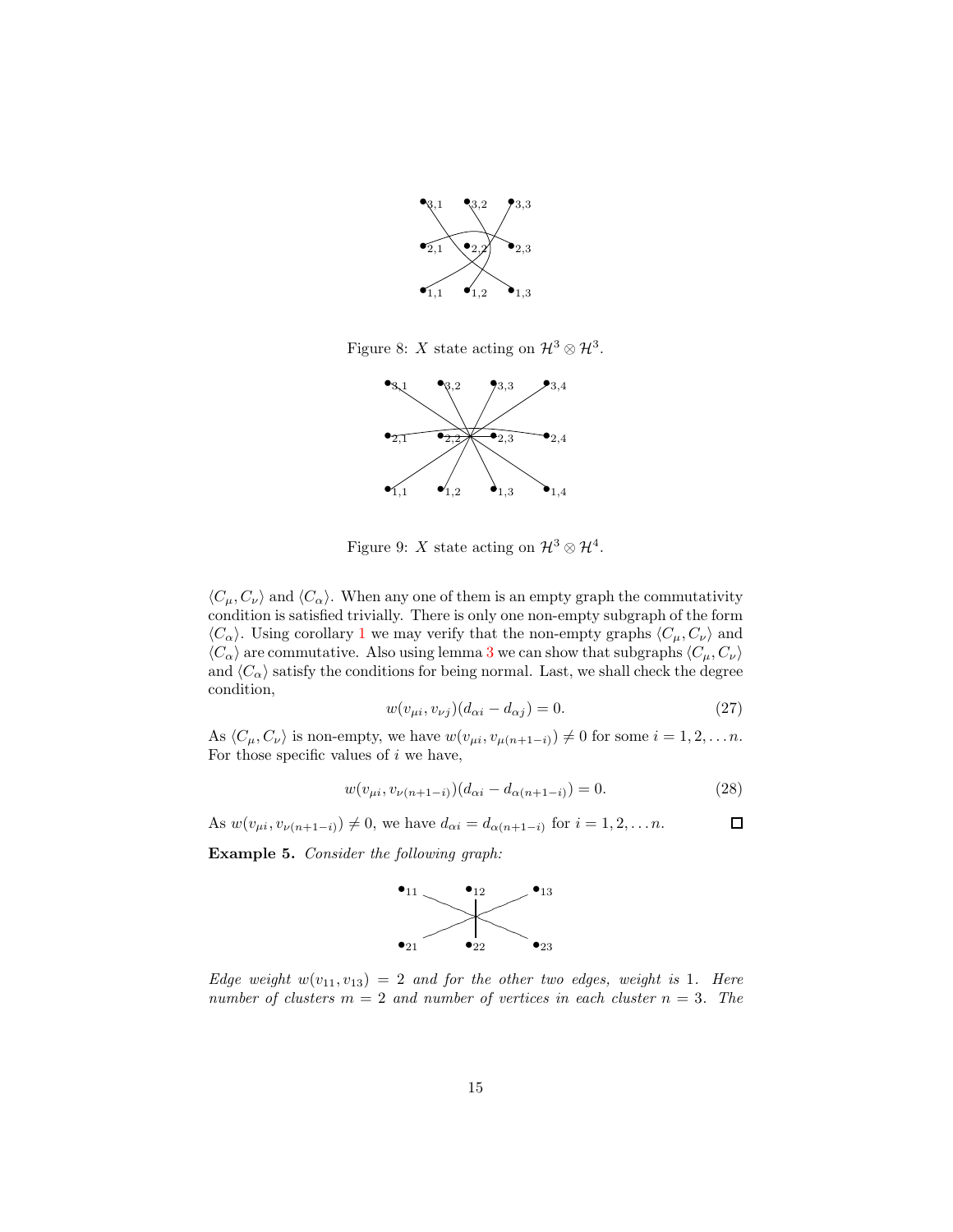

Figure 8: X state acting on  $\mathcal{H}^3 \otimes \mathcal{H}^3$ .



Figure 9: X state acting on  $\mathcal{H}^3 \otimes \mathcal{H}^4$ .

 $\langle C_\mu, C_\nu \rangle$  and  $\langle C_\alpha \rangle$ . When any one of them is an empty graph the commutativity condition is satisfied trivially. There is only one non-empty subgraph of the form  $\langle C_{\alpha} \rangle$ . Using corollary 1 we may verify that the non-empty graphs  $\langle C_{\mu}, C_{\nu} \rangle$  and  $\langle C_{\alpha} \rangle$  are commutative. Also using lemma 3 we can show that subgraphs  $\langle C_{\mu}, C_{\nu} \rangle$ and  $\langle C_{\alpha} \rangle$  satisfy the conditions for being normal. Last, we shall check the degree condition,

$$
w(v_{\mu i}, v_{\nu j})(d_{\alpha i} - d_{\alpha j}) = 0.
$$
 (27)

As  $\langle C_\mu, C_\nu \rangle$  is non-empty, we have  $w(v_{\mu i}, v_{\mu(n+1-i)}) \neq 0$  for some  $i = 1, 2, \ldots n$ . For those specific values of  $i$  we have,

$$
w(v_{\mu i}, v_{\nu(n+1-i)})(d_{\alpha i} - d_{\alpha(n+1-i)}) = 0.
$$
 (28)

 $\Box$ As  $w(v_{\mu i}, v_{\nu(n+1-i)}) \neq 0$ , we have  $d_{\alpha i} = d_{\alpha(n+1-i)}$  for  $i = 1, 2, ..., n$ .

Example 5. Consider the following graph:



Edge weight  $w(v_{11}, v_{13}) = 2$  and for the other two edges, weight is 1. Here number of clusters  $m = 2$  and number of vertices in each cluster  $n = 3$ . The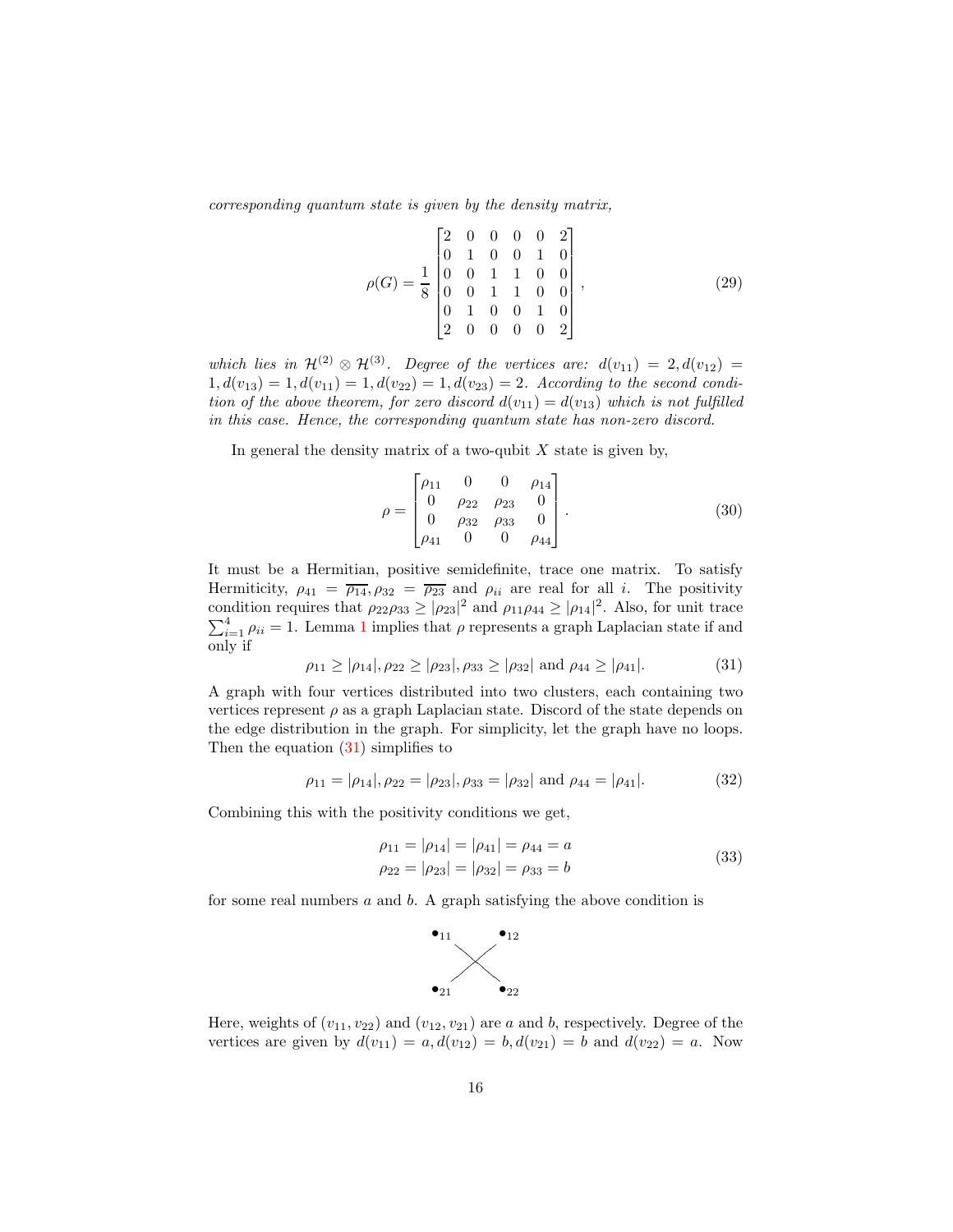corresponding quantum state is given by the density matrix,

$$
\rho(G) = \frac{1}{8} \begin{bmatrix} 2 & 0 & 0 & 0 & 0 & 2 \\ 0 & 1 & 0 & 0 & 1 & 0 \\ 0 & 0 & 1 & 1 & 0 & 0 \\ 0 & 0 & 1 & 1 & 0 & 0 \\ 0 & 1 & 0 & 0 & 1 & 0 \\ 2 & 0 & 0 & 0 & 0 & 2 \end{bmatrix},
$$
\n(29)

which lies in  $\mathcal{H}^{(2)} \otimes \mathcal{H}^{(3)}$ . Degree of the vertices are:  $d(v_{11}) = 2, d(v_{12}) =$  $1, d(v_{13}) = 1, d(v_{11}) = 1, d(v_{22}) = 1, d(v_{23}) = 2.$  According to the second condition of the above theorem, for zero discord  $d(v_{11}) = d(v_{13})$  which is not fulfilled in this case. Hence, the corresponding quantum state has non-zero discord.

In general the density matrix of a two-qubit  $X$  state is given by,

$$
\rho = \begin{bmatrix} \rho_{11} & 0 & 0 & \rho_{14} \\ 0 & \rho_{22} & \rho_{23} & 0 \\ 0 & \rho_{32} & \rho_{33} & 0 \\ \rho_{41} & 0 & 0 & \rho_{44} \end{bmatrix} .
$$
 (30)

It must be a Hermitian, positive semidefinite, trace one matrix. To satisfy Hermiticity,  $\rho_{41} = \overline{\rho_{14}}, \rho_{32} = \overline{\rho_{23}}$  and  $\rho_{ii}$  are real for all *i*. The positivity condition requires that  $\rho_{22}\rho_{33} \geq |\rho_{23}|^2$  and  $\rho_{11}\rho_{44} \geq |\rho_{14}|^2$ . Also, for unit trace  $\sum_{i=1}^{4} \rho_{ii} = 1$ . Lemma 1 implies that  $\rho$  represents a graph Laplacian state if and only if

$$
\rho_{11} \ge |\rho_{14}|, \rho_{22} \ge |\rho_{23}|, \rho_{33} \ge |\rho_{32}| \text{ and } \rho_{44} \ge |\rho_{41}|.
$$
 (31)

A graph with four vertices distributed into two clusters, each containing two vertices represent  $\rho$  as a graph Laplacian state. Discord of the state depends on the edge distribution in the graph. For simplicity, let the graph have no loops. Then the equation  $(31)$  simplifies to

$$
\rho_{11} = |\rho_{14}|, \rho_{22} = |\rho_{23}|, \rho_{33} = |\rho_{32}|
$$
 and  $\rho_{44} = |\rho_{41}|.$  (32)

Combining this with the positivity conditions we get,

$$
\rho_{11} = |\rho_{14}| = |\rho_{41}| = \rho_{44} = a
$$
  
\n
$$
\rho_{22} = |\rho_{23}| = |\rho_{32}| = \rho_{33} = b
$$
\n(33)

for some real numbers  $a$  and  $b$ . A graph satisfying the above condition is



Here, weights of  $(v_{11}, v_{22})$  and  $(v_{12}, v_{21})$  are a and b, respectively. Degree of the vertices are given by  $d(v_{11}) = a, d(v_{12}) = b, d(v_{21}) = b$  and  $d(v_{22}) = a$ . Now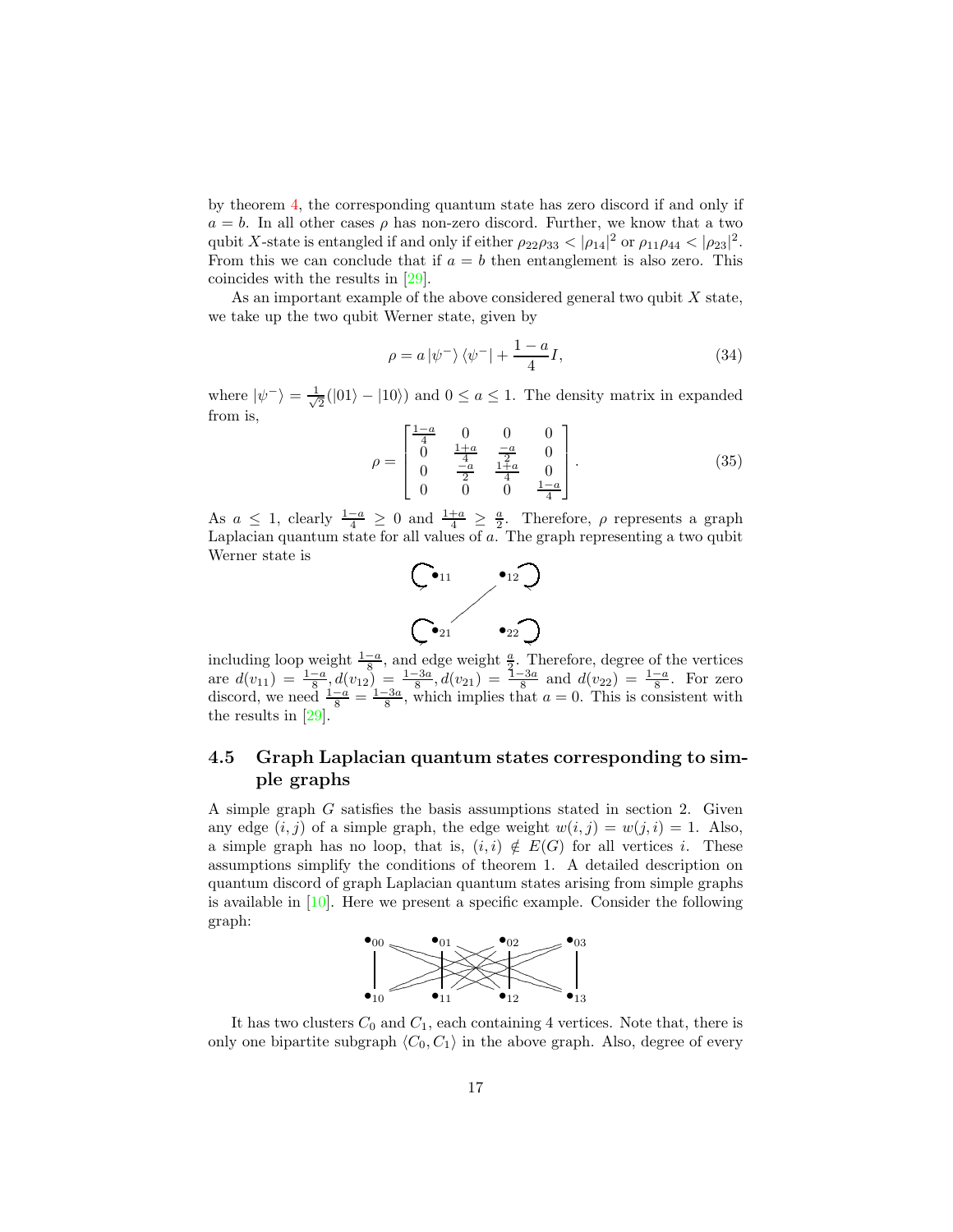by theorem 4, the corresponding quantum state has zero discord if and only if  $a = b$ . In all other cases  $\rho$  has non-zero discord. Further, we know that a two qubit X-state is entangled if and only if either  $\rho_{22}\rho_{33} < |\rho_{14}|^2$  or  $\rho_{11}\rho_{44} < |\rho_{23}|^2$ . From this we can conclude that if  $a = b$  then entanglement is also zero. This coincides with the results in [29].

As an important example of the above considered general two qubit  $X$  state, we take up the two qubit Werner state, given by

$$
\rho = a \left| \psi^- \right\rangle \left\langle \psi^- \right| + \frac{1 - a}{4} I,\tag{34}
$$

where  $|\psi^{-}\rangle = \frac{1}{\sqrt{2}}$  $\frac{1}{2}(|01\rangle - |10\rangle)$  and  $0 \le a \le 1$ . The density matrix in expanded from is,

$$
\rho = \begin{bmatrix} \frac{1-a}{4} & 0 & 0 & 0\\ 0 & \frac{1+a}{4} & \frac{-a}{2} & 0\\ 0 & \frac{-a}{2} & \frac{1+a}{4} & 0\\ 0 & 0 & 0 & \frac{1-a}{4} \end{bmatrix} .
$$
 (35)

As  $a \leq 1$ , clearly  $\frac{1-a}{4} \geq 0$  and  $\frac{1+a}{4} \geq \frac{a}{2}$ . Therefore,  $\rho$  represents a graph Laplacian quantum state for all values of a. The graph representing a two qubit Werner state is



including loop weight  $\frac{1-a}{8}$ , and edge weight  $\frac{a}{3}$ . Therefore, degree of the vertices are  $d(v_{11}) = \frac{1-a}{8}$ ,  $d(v_{12}) = \frac{1-3a}{8}$ ,  $d(v_{21}) = \frac{1-3a}{8}$  and  $d(v_{22}) = \frac{1-a}{8}$ . For zero discord, we need  $\frac{1-a}{8} = \frac{1-3a}{8}$ , which implies that  $a = 0$ . This is consistent with the results in [29].

### 4.5 Graph Laplacian quantum states corresponding to simple graphs

A simple graph G satisfies the basis assumptions stated in section 2. Given any edge  $(i, j)$  of a simple graph, the edge weight  $w(i, j) = w(j, i) = 1$ . Also, a simple graph has no loop, that is,  $(i, i) \notin E(G)$  for all vertices i. These assumptions simplify the conditions of theorem 1. A detailed description on quantum discord of graph Laplacian quantum states arising from simple graphs is available in  $[10]$ . Here we present a specific example. Consider the following graph:



It has two clusters  $C_0$  and  $C_1$ , each containing 4 vertices. Note that, there is only one bipartite subgraph  $\langle C_0, C_1 \rangle$  in the above graph. Also, degree of every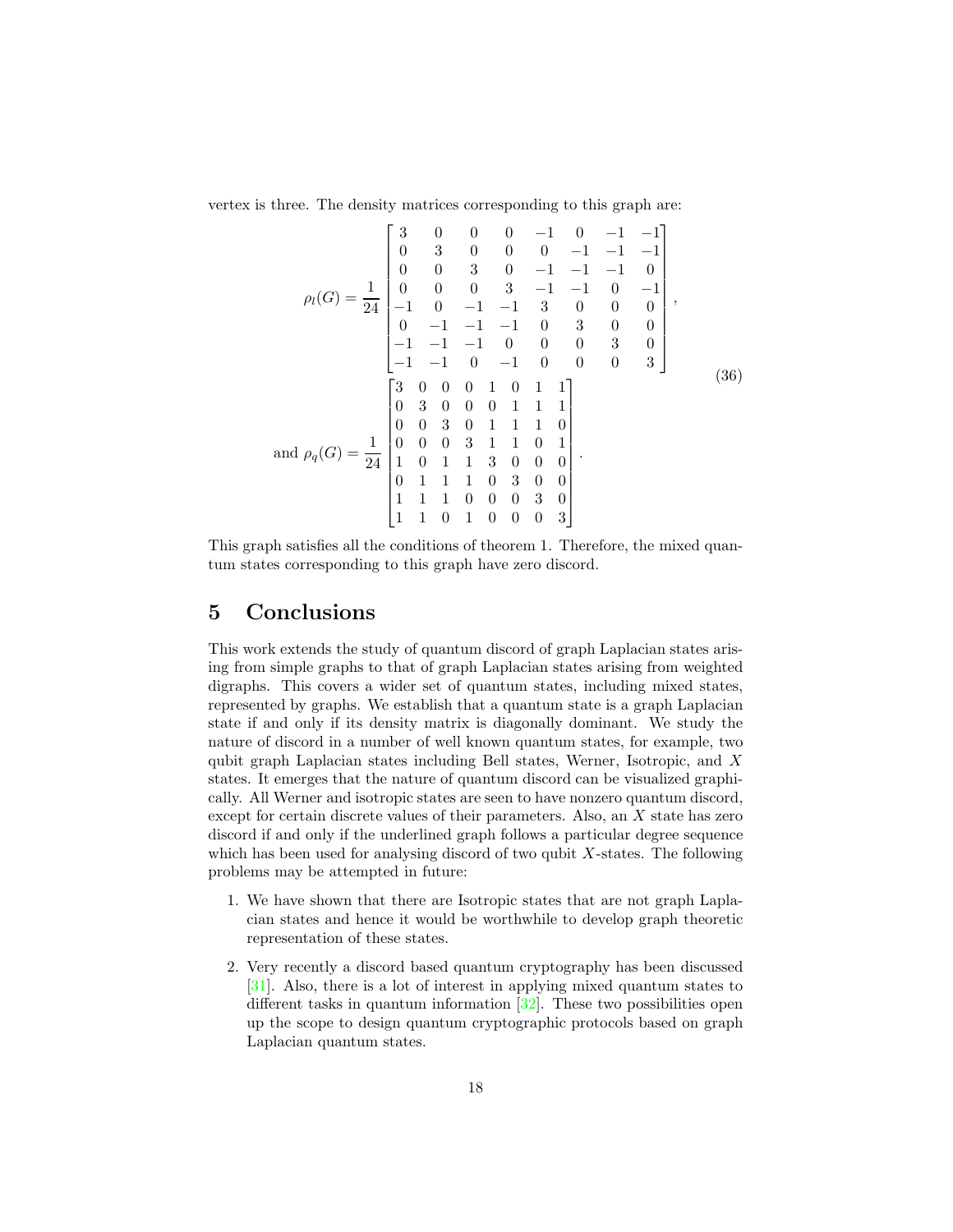vertex is three. The density matrices corresponding to this graph are:

$$
\rho_l(G) = \frac{1}{24} \begin{bmatrix} 3 & 0 & 0 & 0 & -1 & 0 & -1 & -1 \\ 0 & 3 & 0 & 0 & 0 & -1 & -1 & -1 \\ 0 & 0 & 3 & 0 & -1 & -1 & -1 & 0 \\ 0 & 0 & 0 & 3 & -1 & -1 & 0 & -1 \\ -1 & 0 & -1 & -1 & 3 & 0 & 0 & 0 \\ 0 & -1 & -1 & -1 & 0 & 3 & 0 & 0 \\ -1 & -1 & -1 & 0 & 0 & 0 & 3 & 0 \\ -1 & -1 & 0 & -1 & 0 & 0 & 0 & 3 \end{bmatrix},
$$
\n
$$
\text{and } \rho_q(G) = \frac{1}{24} \begin{bmatrix} 3 & 0 & 0 & 0 & 1 & 0 & 1 & 1 \\ 0 & 0 & 3 & 0 & 1 & 1 & 1 & 0 \\ 0 & 0 & 0 & 3 & 1 & 1 & 0 & 1 \\ 0 & 0 & 0 & 3 & 1 & 1 & 0 & 1 \\ 1 & 0 & 1 & 1 & 3 & 0 & 0 & 0 \\ 1 & 1 & 1 & 0 & 3 & 0 & 0 & 0 \\ 0 & 1 & 1 & 1 & 0 & 3 & 0 & 0 \\ 1 & 1 & 1 & 0 & 0 & 0 & 3 & 0 \\ 1 & 1 & 1 & 0 & 1 & 0 & 0 & 0 & 3 \end{bmatrix}.
$$
\n
$$
(36)
$$

This graph satisfies all the conditions of theorem 1. Therefore, the mixed quantum states corresponding to this graph have zero discord.

# 5 Conclusions

This work extends the study of quantum discord of graph Laplacian states arising from simple graphs to that of graph Laplacian states arising from weighted digraphs. This covers a wider set of quantum states, including mixed states, represented by graphs. We establish that a quantum state is a graph Laplacian state if and only if its density matrix is diagonally dominant. We study the nature of discord in a number of well known quantum states, for example, two qubit graph Laplacian states including Bell states, Werner, Isotropic, and X states. It emerges that the nature of quantum discord can be visualized graphically. All Werner and isotropic states are seen to have nonzero quantum discord, except for certain discrete values of their parameters. Also, an X state has zero discord if and only if the underlined graph follows a particular degree sequence which has been used for analysing discord of two qubit  $X$ -states. The following problems may be attempted in future:

- 1. We have shown that there are Isotropic states that are not graph Laplacian states and hence it would be worthwhile to develop graph theoretic representation of these states.
- 2. Very recently a discord based quantum cryptography has been discussed [31]. Also, there is a lot of interest in applying mixed quantum states to different tasks in quantum information [32]. These two possibilities open up the scope to design quantum cryptographic protocols based on graph Laplacian quantum states.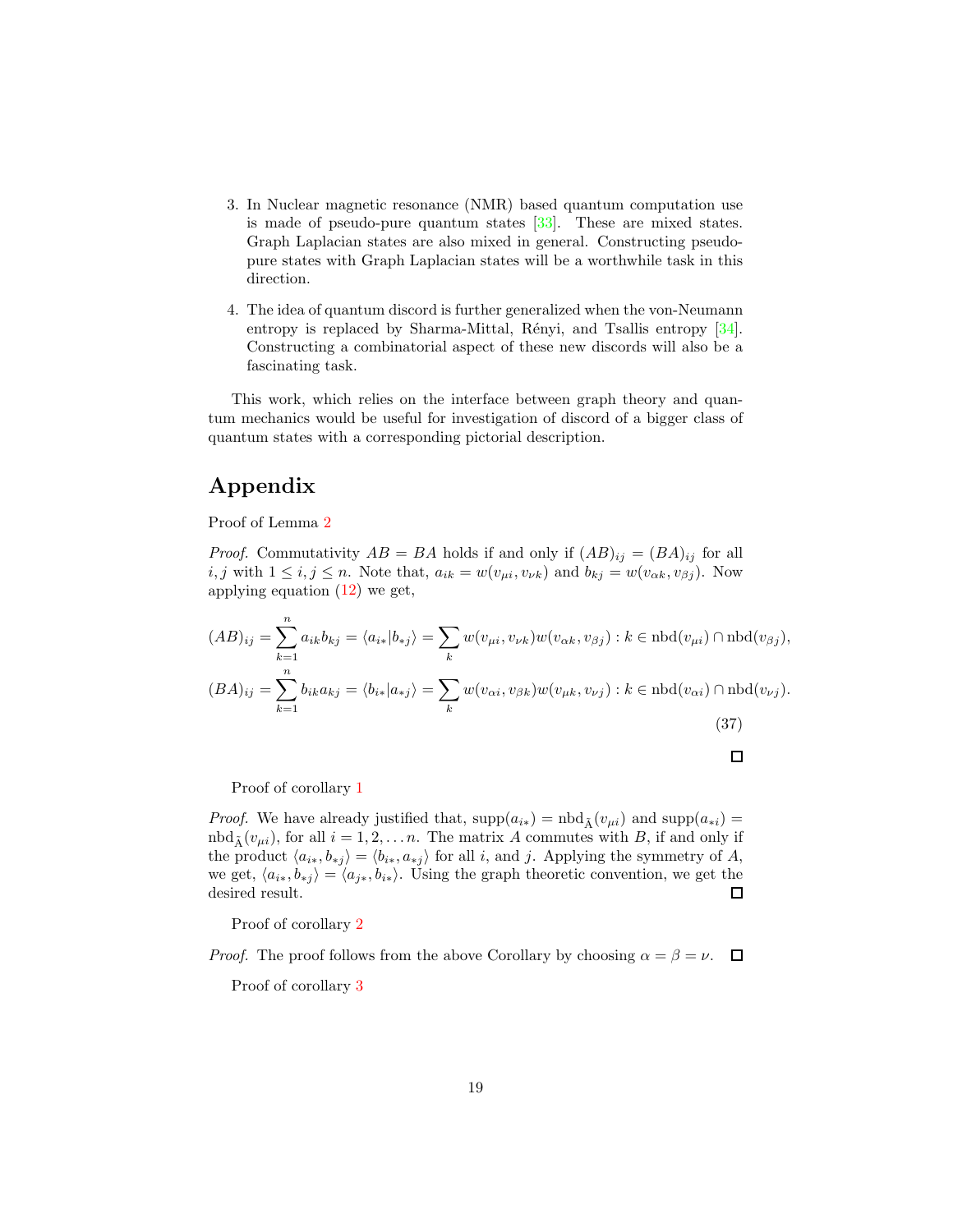- 3. In Nuclear magnetic resonance (NMR) based quantum computation use is made of pseudo-pure quantum states [33]. These are mixed states. Graph Laplacian states are also mixed in general. Constructing pseudopure states with Graph Laplacian states will be a worthwhile task in this direction.
- 4. The idea of quantum discord is further generalized when the von-Neumann entropy is replaced by Sharma-Mittal, Rényi, and Tsallis entropy  $[34]$ . Constructing a combinatorial aspect of these new discords will also be a fascinating task.

This work, which relies on the interface between graph theory and quantum mechanics would be useful for investigation of discord of a bigger class of quantum states with a corresponding pictorial description.

# Appendix

Proof of Lemma 2

*Proof.* Commutativity  $AB = BA$  holds if and only if  $(AB)_{ij} = (BA)_{ij}$  for all i, j with  $1 \le i, j \le n$ . Note that,  $a_{ik} = w(v_{\mu i}, v_{\nu k})$  and  $b_{kj} = w(v_{\alpha k}, v_{\beta j})$ . Now applying equation (12) we get,

$$
(AB)_{ij} = \sum_{k=1}^{n} a_{ik}b_{kj} = \langle a_{i*}|b_{*j}\rangle = \sum_{k} w(v_{\mu i}, v_{\nu k})w(v_{\alpha k}, v_{\beta j}) : k \in \text{nbd}(v_{\mu i}) \cap \text{nbd}(v_{\beta j}),
$$
  

$$
(BA)_{ij} = \sum_{k=1}^{n} b_{ik}a_{kj} = \langle b_{i*}|a_{*j}\rangle = \sum_{k} w(v_{\alpha i}, v_{\beta k})w(v_{\mu k}, v_{\nu j}) : k \in \text{nbd}(v_{\alpha i}) \cap \text{nbd}(v_{\nu j}).
$$
  
(37)

$$
\qquad \qquad \Box
$$

Proof of corollary 1

*Proof.* We have already justified that,  $\text{supp}(a_{i*}) = \text{nbd}_{\tilde{\Lambda}}(v_{\mu i})$  and  $\text{supp}(a_{*i}) =$  $\text{nbd}_{\tilde{A}}(v_{\mu i}),$  for all  $i = 1, 2, \ldots n$ . The matrix A commutes with B, if and only if the product  $\langle a_{i*}, b_{*j} \rangle = \langle b_{i*}, a_{*j} \rangle$  for all i, and j. Applying the symmetry of A, we get,  $\langle a_{i*}, b_{*j} \rangle = \langle a_{j*}, b_{i*} \rangle$ . Using the graph theoretic convention, we get the desired result. desired result.

Proof of corollary 2

*Proof.* The proof follows from the above Corollary by choosing  $\alpha = \beta = \nu$ .  $\Box$ 

Proof of corollary 3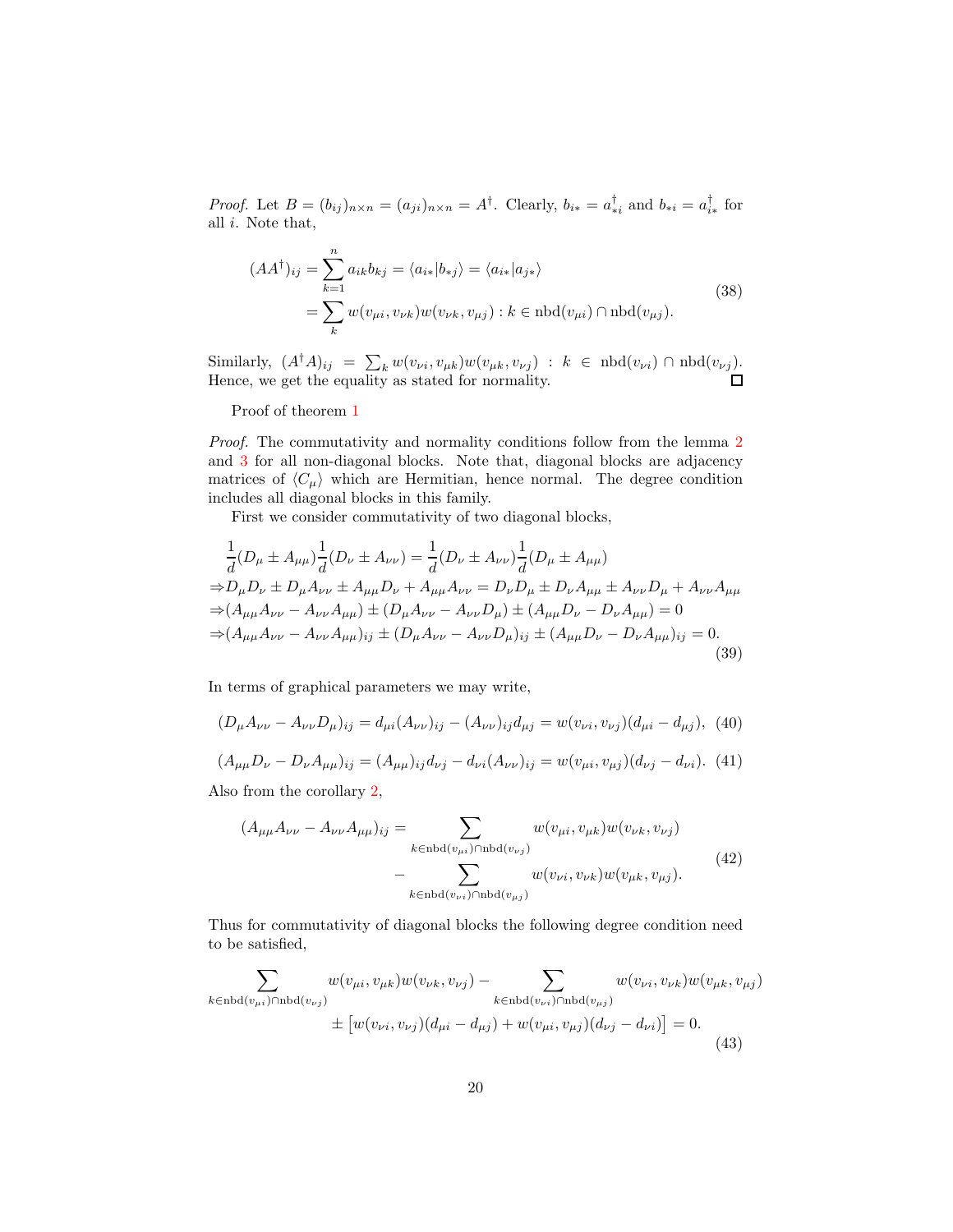*Proof.* Let  $B = (b_{ij})_{n \times n} = (a_{ji})_{n \times n} = A^{\dagger}$ . Clearly,  $b_{i*} = a_{ii}^{\dagger}$  and  $b_{*i} = a_{i*}^{\dagger}$  for all i. Note that,

$$
(AA^{\dagger})_{ij} = \sum_{k=1}^{n} a_{ik} b_{kj} = \langle a_{i*} | b_{*j} \rangle = \langle a_{i*} | a_{j*} \rangle
$$
  
= 
$$
\sum_{k} w(v_{\mu i}, v_{\nu k}) w(v_{\nu k}, v_{\mu j}) : k \in \text{nbd}(v_{\mu i}) \cap \text{nbd}(v_{\mu j}).
$$
 (38)

Similarly,  $(A^{\dagger}A)_{ij} = \sum_k w(v_{\nu i}, v_{\mu k})w(v_{\mu k}, v_{\nu j}) : k \in \text{nbd}(v_{\nu i}) \cap \text{nbd}(v_{\nu j}).$ Hence, we get the equality as stated for normality.

Proof of theorem 1

Proof. The commutativity and normality conditions follow from the lemma 2 and 3 for all non-diagonal blocks. Note that, diagonal blocks are adjacency matrices of  $\langle C_\mu \rangle$  which are Hermitian, hence normal. The degree condition includes all diagonal blocks in this family.

First we consider commutativity of two diagonal blocks,

$$
\frac{1}{d}(D_{\mu} \pm A_{\mu\mu})\frac{1}{d}(D_{\nu} \pm A_{\nu\nu}) = \frac{1}{d}(D_{\nu} \pm A_{\nu\nu})\frac{1}{d}(D_{\mu} \pm A_{\mu\mu})
$$
\n
$$
\Rightarrow D_{\mu}D_{\nu} \pm D_{\mu}A_{\nu\nu} \pm A_{\mu\mu}D_{\nu} + A_{\mu\mu}A_{\nu\nu} = D_{\nu}D_{\mu} \pm D_{\nu}A_{\mu\mu} \pm A_{\nu\nu}D_{\mu} + A_{\nu\nu}A_{\mu\mu}
$$
\n
$$
\Rightarrow (A_{\mu\mu}A_{\nu\nu} - A_{\nu\nu}A_{\mu\mu}) \pm (D_{\mu}A_{\nu\nu} - A_{\nu\nu}D_{\mu}) \pm (A_{\mu\mu}D_{\nu} - D_{\nu}A_{\mu\mu}) = 0
$$
\n
$$
\Rightarrow (A_{\mu\mu}A_{\nu\nu} - A_{\nu\nu}A_{\mu\mu})_{ij} \pm (D_{\mu}A_{\nu\nu} - A_{\nu\nu}D_{\mu})_{ij} \pm (A_{\mu\mu}D_{\nu} - D_{\nu}A_{\mu\mu})_{ij} = 0.
$$
\n(39)

In terms of graphical parameters we may write,

$$
(D_{\mu}A_{\nu\nu} - A_{\nu\nu}D_{\mu})_{ij} = d_{\mu i}(A_{\nu\nu})_{ij} - (A_{\nu\nu})_{ij}d_{\mu j} = w(v_{\nu i}, v_{\nu j})(d_{\mu i} - d_{\mu j}), \tag{40}
$$

$$
(A_{\mu\mu}D_{\nu} - D_{\nu}A_{\mu\mu})_{ij} = (A_{\mu\mu})_{ij}d_{\nu j} - d_{\nu i}(A_{\nu\nu})_{ij} = w(v_{\mu i}, v_{\mu j})(d_{\nu j} - d_{\nu i}). \tag{41}
$$

Also from the corollary 2,

$$
(A_{\mu\mu}A_{\nu\nu} - A_{\nu\nu}A_{\mu\mu})_{ij} = \sum_{k \in \text{nbd}(v_{\mu i}) \cap \text{nbd}(v_{\nu j})} w(v_{\mu i}, v_{\mu k})w(v_{\nu k}, v_{\nu j}) - \sum_{k \in \text{nbd}(v_{\nu i}) \cap \text{nbd}(v_{\mu j})} w(v_{\nu i}, v_{\nu k})w(v_{\mu k}, v_{\mu j}).
$$
\n(42)

Thus for commutativity of diagonal blocks the following degree condition need to be satisfied,

$$
\sum_{k \in \text{nbd}(v_{\mu i}) \cap \text{nbd}(v_{\nu j})} w(v_{\mu i}, v_{\mu k}) w(v_{\nu k}, v_{\nu j}) - \sum_{k \in \text{nbd}(v_{\nu i}) \cap \text{nbd}(v_{\mu j})} w(v_{\nu i}, v_{\nu k}) w(v_{\mu k}, v_{\mu j})
$$
  

$$
\pm [w(v_{\nu i}, v_{\nu j})(d_{\mu i} - d_{\mu j}) + w(v_{\mu i}, v_{\mu j})(d_{\nu j} - d_{\nu i})] = 0.
$$
\n(43)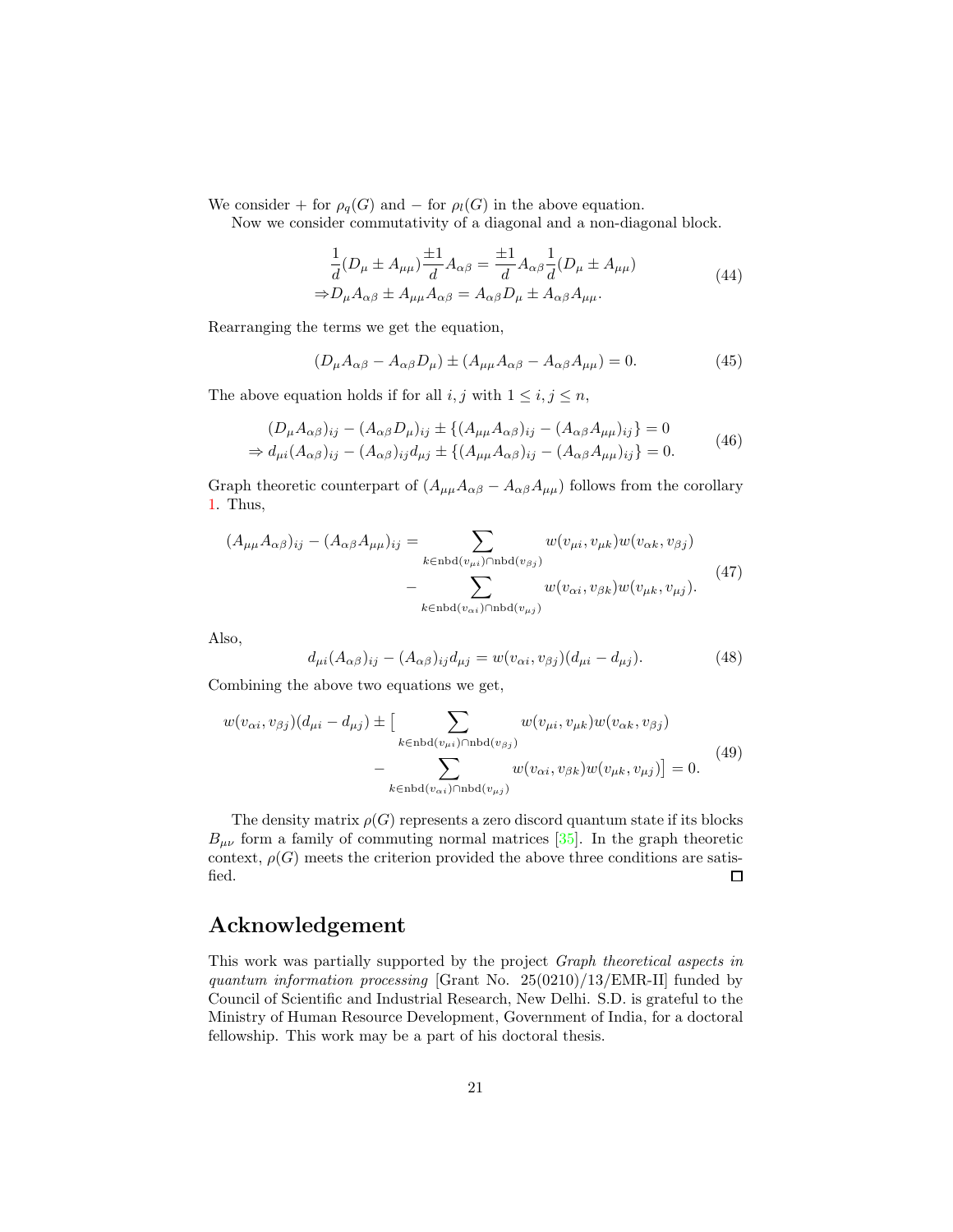We consider + for  $\rho_q(G)$  and – for  $\rho_l(G)$  in the above equation.

Now we consider commutativity of a diagonal and a non-diagonal block.

$$
\frac{1}{d}(D_{\mu} \pm A_{\mu\mu})\frac{\pm 1}{d}A_{\alpha\beta} = \frac{\pm 1}{d}A_{\alpha\beta}\frac{1}{d}(D_{\mu} \pm A_{\mu\mu})
$$
\n
$$
\Rightarrow D_{\mu}A_{\alpha\beta} \pm A_{\mu\mu}A_{\alpha\beta} = A_{\alpha\beta}D_{\mu} \pm A_{\alpha\beta}A_{\mu\mu}.
$$
\n(44)

Rearranging the terms we get the equation,

$$
(D_{\mu}A_{\alpha\beta} - A_{\alpha\beta}D_{\mu}) \pm (A_{\mu\mu}A_{\alpha\beta} - A_{\alpha\beta}A_{\mu\mu}) = 0.
$$
 (45)

The above equation holds if for all  $i, j$  with  $1 \leq i, j \leq n$ ,

$$
(D_{\mu}A_{\alpha\beta})_{ij} - (A_{\alpha\beta}D_{\mu})_{ij} \pm \{(A_{\mu\mu}A_{\alpha\beta})_{ij} - (A_{\alpha\beta}A_{\mu\mu})_{ij}\} = 0
$$
  
\n
$$
\Rightarrow d_{\mu i}(A_{\alpha\beta})_{ij} - (A_{\alpha\beta})_{ij}d_{\mu j} \pm \{(A_{\mu\mu}A_{\alpha\beta})_{ij} - (A_{\alpha\beta}A_{\mu\mu})_{ij}\} = 0.
$$
\n(46)

Graph theoretic counterpart of  $(A_{\mu\mu}A_{\alpha\beta} - A_{\alpha\beta}A_{\mu\mu})$  follows from the corollary 1. Thus,

$$
(A_{\mu\mu}A_{\alpha\beta})_{ij} - (A_{\alpha\beta}A_{\mu\mu})_{ij} = \sum_{k \in \text{nbd}(v_{\mu i}) \cap \text{nbd}(v_{\beta j})} w(v_{\mu i}, v_{\mu k})w(v_{\alpha k}, v_{\beta j})
$$

$$
- \sum_{k \in \text{nbd}(v_{\alpha i}) \cap \text{nbd}(v_{\mu j})} w(v_{\alpha i}, v_{\beta k})w(v_{\mu k}, v_{\mu j}). \tag{47}
$$

Also,

$$
d_{\mu i}(A_{\alpha\beta})_{ij} - (A_{\alpha\beta})_{ij}d_{\mu j} = w(v_{\alpha i}, v_{\beta j})(d_{\mu i} - d_{\mu j}).
$$
\n(48)

Combining the above two equations we get,

$$
w(v_{\alpha i}, v_{\beta j})(d_{\mu i} - d_{\mu j}) \pm \left[\sum_{k \in \text{nbd}(v_{\mu i}) \cap \text{nbd}(v_{\beta j})} w(v_{\mu i}, v_{\mu k}) w(v_{\alpha k}, v_{\beta j}) - \sum_{k \in \text{nbd}(v_{\alpha i}) \cap \text{nbd}(v_{\mu j})} w(v_{\alpha i}, v_{\beta k}) w(v_{\mu k}, v_{\mu j})\right] = 0.
$$
\n
$$
(49)
$$

The density matrix  $\rho(G)$  represents a zero discord quantum state if its blocks  $B_{\mu\nu}$  form a family of commuting normal matrices [35]. In the graph theoretic context,  $\rho(G)$  meets the criterion provided the above three conditions are satisfied. □

# Acknowledgement

This work was partially supported by the project Graph theoretical aspects in quantum information processing [Grant No. 25(0210)/13/EMR-II] funded by Council of Scientific and Industrial Research, New Delhi. S.D. is grateful to the Ministry of Human Resource Development, Government of India, for a doctoral fellowship. This work may be a part of his doctoral thesis.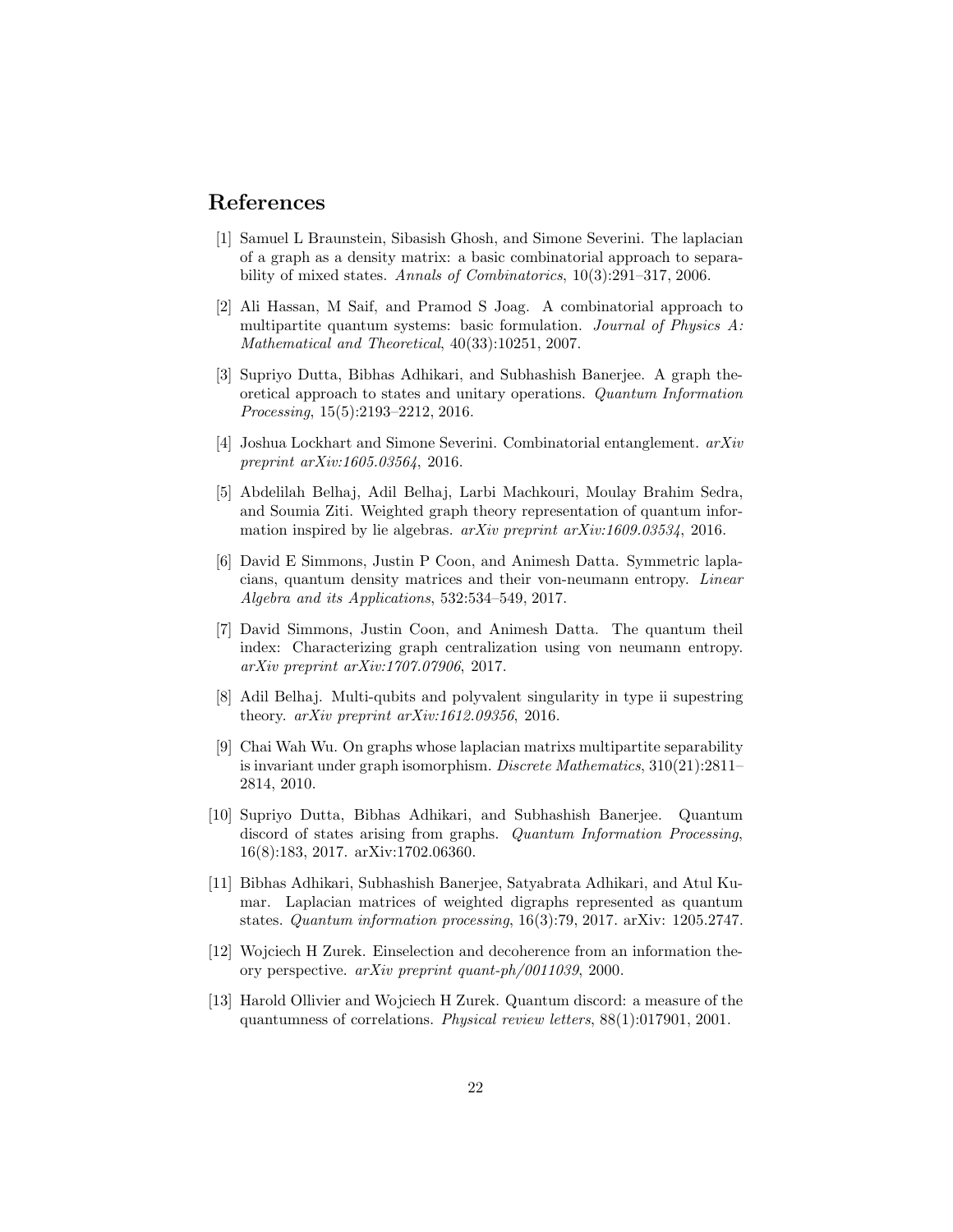# References

- [1] Samuel L Braunstein, Sibasish Ghosh, and Simone Severini. The laplacian of a graph as a density matrix: a basic combinatorial approach to separability of mixed states. Annals of Combinatorics, 10(3):291–317, 2006.
- [2] Ali Hassan, M Saif, and Pramod S Joag. A combinatorial approach to multipartite quantum systems: basic formulation. Journal of Physics A: Mathematical and Theoretical, 40(33):10251, 2007.
- [3] Supriyo Dutta, Bibhas Adhikari, and Subhashish Banerjee. A graph theoretical approach to states and unitary operations. Quantum Information Processing, 15(5):2193–2212, 2016.
- [4] Joshua Lockhart and Simone Severini. Combinatorial entanglement. arXiv preprint arXiv:1605.03564, 2016.
- [5] Abdelilah Belhaj, Adil Belhaj, Larbi Machkouri, Moulay Brahim Sedra, and Soumia Ziti. Weighted graph theory representation of quantum information inspired by lie algebras. arXiv preprint arXiv:1609.03534, 2016.
- [6] David E Simmons, Justin P Coon, and Animesh Datta. Symmetric laplacians, quantum density matrices and their von-neumann entropy. Linear Algebra and its Applications, 532:534–549, 2017.
- [7] David Simmons, Justin Coon, and Animesh Datta. The quantum theil index: Characterizing graph centralization using von neumann entropy. arXiv preprint arXiv:1707.07906, 2017.
- [8] Adil Belhaj. Multi-qubits and polyvalent singularity in type ii supestring theory. arXiv preprint arXiv:1612.09356, 2016.
- [9] Chai Wah Wu. On graphs whose laplacian matrixs multipartite separability is invariant under graph isomorphism. Discrete Mathematics, 310(21):2811– 2814, 2010.
- [10] Supriyo Dutta, Bibhas Adhikari, and Subhashish Banerjee. Quantum discord of states arising from graphs. Quantum Information Processing, 16(8):183, 2017. arXiv:1702.06360.
- [11] Bibhas Adhikari, Subhashish Banerjee, Satyabrata Adhikari, and Atul Kumar. Laplacian matrices of weighted digraphs represented as quantum states. Quantum information processing, 16(3):79, 2017. arXiv: 1205.2747.
- [12] Wojciech H Zurek. Einselection and decoherence from an information theory perspective. arXiv preprint quant-ph/0011039, 2000.
- [13] Harold Ollivier and Wojciech H Zurek. Quantum discord: a measure of the quantumness of correlations. Physical review letters, 88(1):017901, 2001.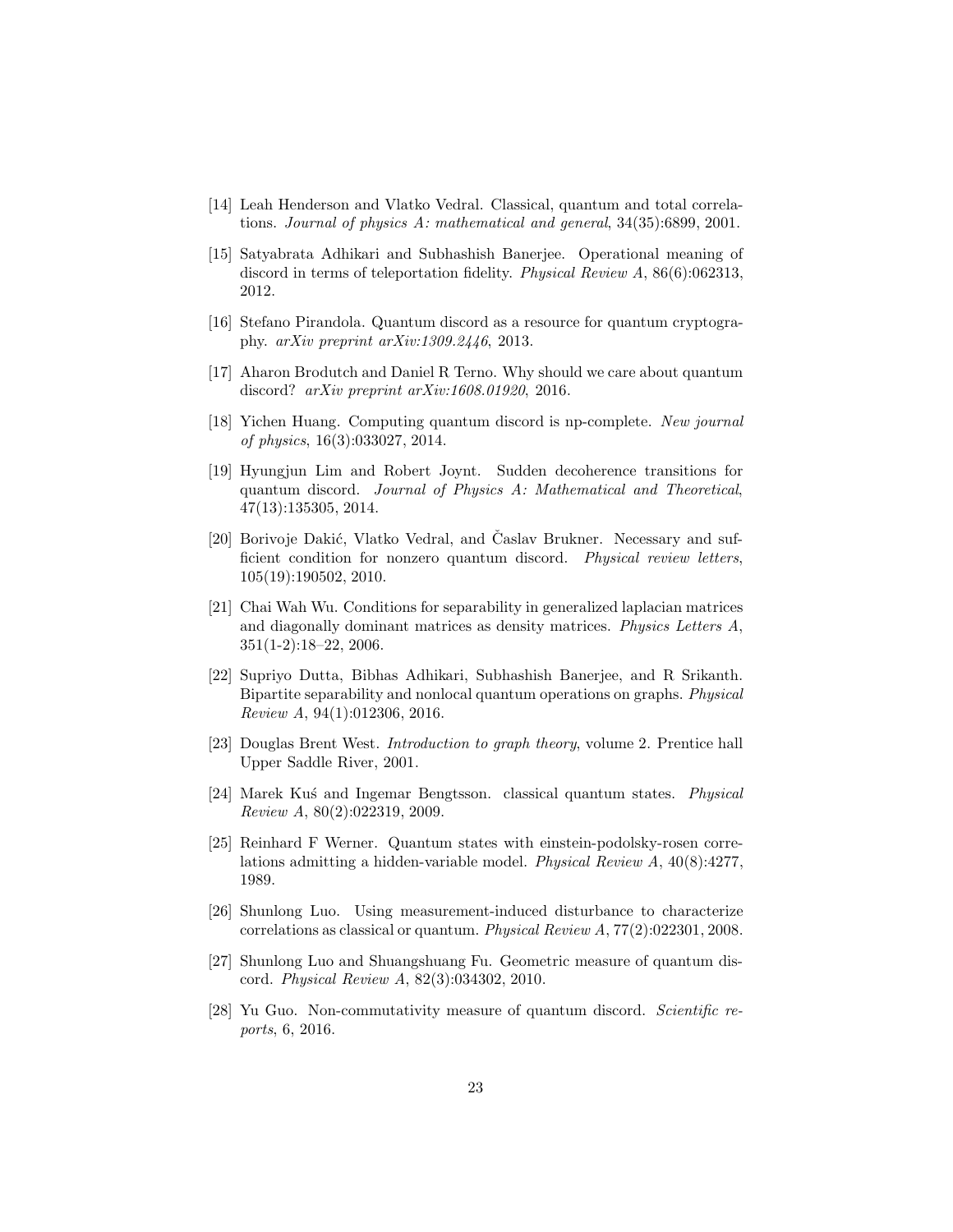- [14] Leah Henderson and Vlatko Vedral. Classical, quantum and total correlations. Journal of physics A: mathematical and general, 34(35):6899, 2001.
- [15] Satyabrata Adhikari and Subhashish Banerjee. Operational meaning of discord in terms of teleportation fidelity. Physical Review A, 86(6):062313, 2012.
- [16] Stefano Pirandola. Quantum discord as a resource for quantum cryptography. arXiv preprint arXiv:1309.2446, 2013.
- [17] Aharon Brodutch and Daniel R Terno. Why should we care about quantum discord? arXiv preprint arXiv:1608.01920, 2016.
- [18] Yichen Huang. Computing quantum discord is np-complete. New journal of physics, 16(3):033027, 2014.
- [19] Hyungjun Lim and Robert Joynt. Sudden decoherence transitions for quantum discord. Journal of Physics A: Mathematical and Theoretical, 47(13):135305, 2014.
- [20] Borivoje Dakić, Vlatko Vedral, and Časlav Brukner. Necessary and sufficient condition for nonzero quantum discord. Physical review letters, 105(19):190502, 2010.
- [21] Chai Wah Wu. Conditions for separability in generalized laplacian matrices and diagonally dominant matrices as density matrices. Physics Letters A, 351(1-2):18–22, 2006.
- [22] Supriyo Dutta, Bibhas Adhikari, Subhashish Banerjee, and R Srikanth. Bipartite separability and nonlocal quantum operations on graphs. Physical Review A, 94(1):012306, 2016.
- [23] Douglas Brent West. Introduction to graph theory, volume 2. Prentice hall Upper Saddle River, 2001.
- [24] Marek Kus´ and Ingemar Bengtsson. classical quantum states. Physical Review A, 80(2):022319, 2009.
- [25] Reinhard F Werner. Quantum states with einstein-podolsky-rosen correlations admitting a hidden-variable model. Physical Review A, 40(8):4277, 1989.
- [26] Shunlong Luo. Using measurement-induced disturbance to characterize correlations as classical or quantum. Physical Review A, 77(2):022301, 2008.
- [27] Shunlong Luo and Shuangshuang Fu. Geometric measure of quantum discord. Physical Review A, 82(3):034302, 2010.
- [28] Yu Guo. Non-commutativity measure of quantum discord. Scientific reports, 6, 2016.